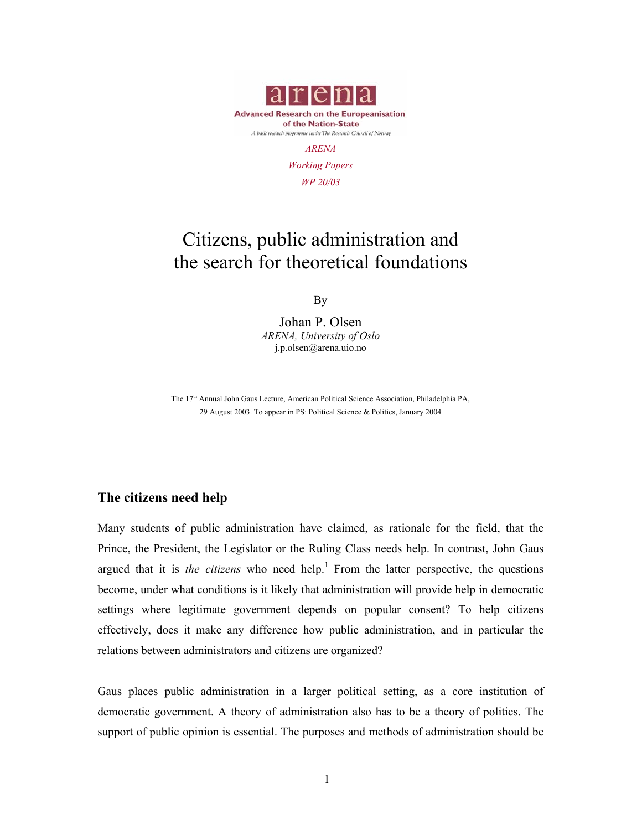

*Working Papers WP 20/03*

# Citizens, public administration and the search for theoretical foundations

By

Johan P. Olsen *ARENA, University of Oslo*  j.p.olsen@arena.uio.no

The 17<sup>th</sup> Annual John Gaus Lecture, American Political Science Association, Philadelphia PA, 29 August 2003. To appear in PS: Political Science & Politics, January 2004

# **The citizens need help**

Many students of public administration have claimed, as rationale for the field, that the Prince, the President, the Legislator or the Ruling Class needs help. In contrast, John Gaus argued that it is *the citizens* who need help.<sup>1</sup> From the latter perspective, the questions become, under what conditions is it likely that administration will provide help in democratic settings where legitimate government depends on popular consent? To help citizens effectively, does it make any difference how public administration, and in particular the relations between administrators and citizens are organized?

Gaus places public administration in a larger political setting, as a core institution of democratic government. A theory of administration also has to be a theory of politics. The support of public opinion is essential. The purposes and methods of administration should be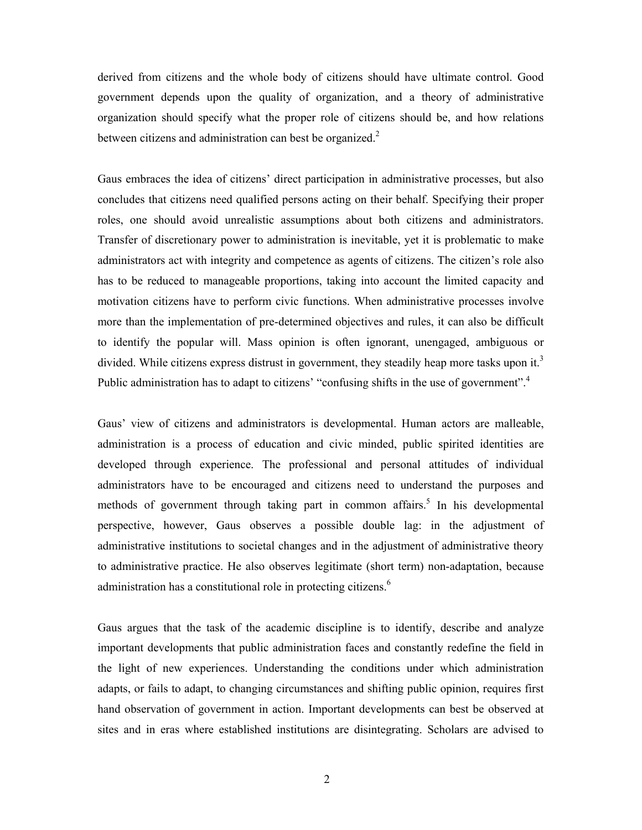derived from citizens and the whole body of citizens should have ultimate control. Good government depends upon the quality of organization, and a theory of administrative organization should specify what the proper role of citizens should be, and how relations between citizens and administration can best be organized.<sup>2</sup>

Gaus embraces the idea of citizens' direct participation in administrative processes, but also concludes that citizens need qualified persons acting on their behalf. Specifying their proper roles, one should avoid unrealistic assumptions about both citizens and administrators. Transfer of discretionary power to administration is inevitable, yet it is problematic to make administrators act with integrity and competence as agents of citizens. The citizen's role also has to be reduced to manageable proportions, taking into account the limited capacity and motivation citizens have to perform civic functions. When administrative processes involve more than the implementation of pre-determined objectives and rules, it can also be difficult to identify the popular will. Mass opinion is often ignorant, unengaged, ambiguous or divided. While citizens express distrust in government, they steadily heap more tasks upon it.<sup>3</sup> Public administration has to adapt to citizens' "confusing shifts in the use of government".<sup>4</sup>

Gaus' view of citizens and administrators is developmental. Human actors are malleable, administration is a process of education and civic minded, public spirited identities are developed through experience. The professional and personal attitudes of individual administrators have to be encouraged and citizens need to understand the purposes and methods of government through taking part in common affairs.<sup>5</sup> In his developmental perspective, however, Gaus observes a possible double lag: in the adjustment of administrative institutions to societal changes and in the adjustment of administrative theory to administrative practice. He also observes legitimate (short term) non-adaptation, because administration has a constitutional role in protecting citizens.<sup>6</sup>

Gaus argues that the task of the academic discipline is to identify, describe and analyze important developments that public administration faces and constantly redefine the field in the light of new experiences. Understanding the conditions under which administration adapts, or fails to adapt, to changing circumstances and shifting public opinion, requires first hand observation of government in action. Important developments can best be observed at sites and in eras where established institutions are disintegrating. Scholars are advised to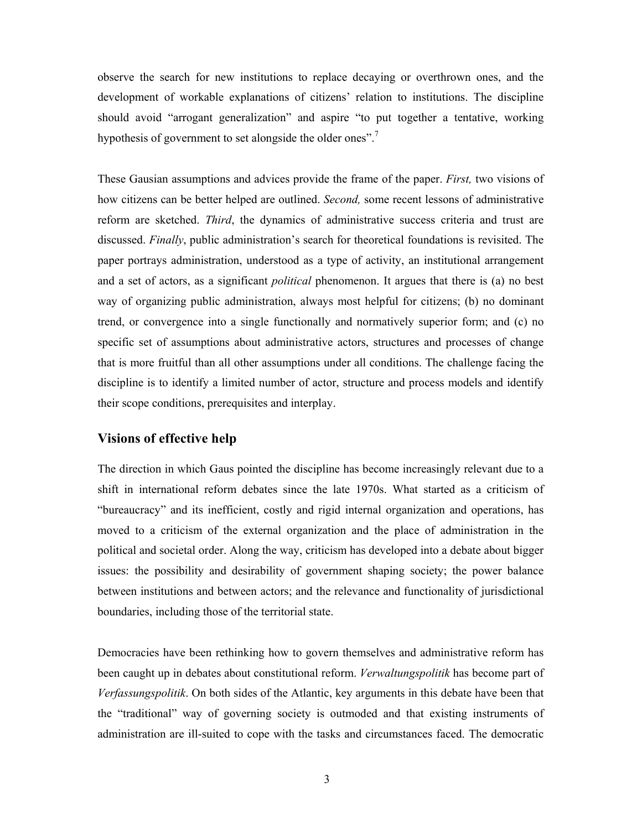observe the search for new institutions to replace decaying or overthrown ones, and the development of workable explanations of citizens' relation to institutions. The discipline should avoid "arrogant generalization" and aspire "to put together a tentative, working hypothesis of government to set alongside the older ones".<sup>7</sup>

These Gausian assumptions and advices provide the frame of the paper. *First,* two visions of how citizens can be better helped are outlined. *Second,* some recent lessons of administrative reform are sketched. *Third*, the dynamics of administrative success criteria and trust are discussed. *Finally*, public administration's search for theoretical foundations is revisited. The paper portrays administration, understood as a type of activity, an institutional arrangement and a set of actors, as a significant *political* phenomenon. It argues that there is (a) no best way of organizing public administration, always most helpful for citizens; (b) no dominant trend, or convergence into a single functionally and normatively superior form; and (c) no specific set of assumptions about administrative actors, structures and processes of change that is more fruitful than all other assumptions under all conditions. The challenge facing the discipline is to identify a limited number of actor, structure and process models and identify their scope conditions, prerequisites and interplay.

### **Visions of effective help**

The direction in which Gaus pointed the discipline has become increasingly relevant due to a shift in international reform debates since the late 1970s. What started as a criticism of "bureaucracy" and its inefficient, costly and rigid internal organization and operations, has moved to a criticism of the external organization and the place of administration in the political and societal order. Along the way, criticism has developed into a debate about bigger issues: the possibility and desirability of government shaping society; the power balance between institutions and between actors; and the relevance and functionality of jurisdictional boundaries, including those of the territorial state.

Democracies have been rethinking how to govern themselves and administrative reform has been caught up in debates about constitutional reform. *Verwaltungspolitik* has become part of *Verfassungspolitik*. On both sides of the Atlantic, key arguments in this debate have been that the "traditional" way of governing society is outmoded and that existing instruments of administration are ill-suited to cope with the tasks and circumstances faced. The democratic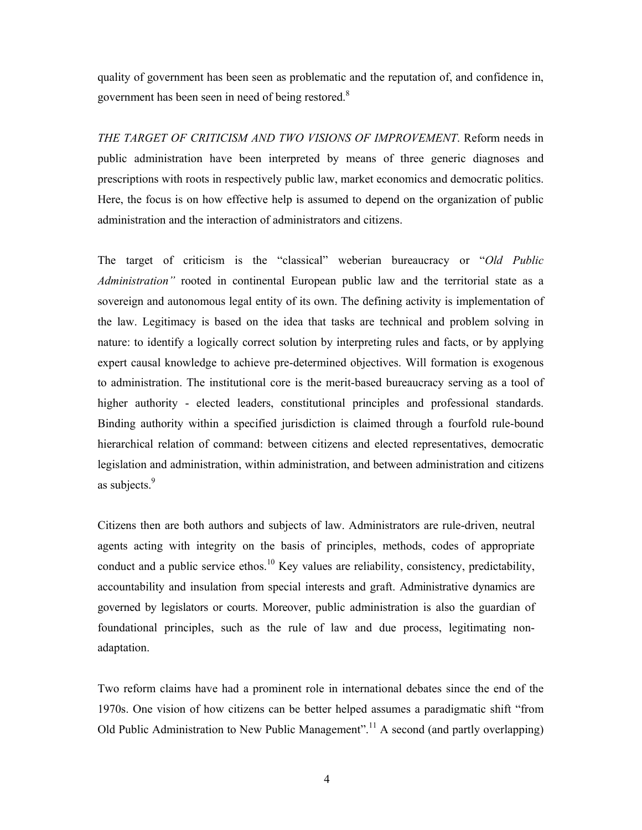quality of government has been seen as problematic and the reputation of, and confidence in, government has been seen in need of being restored. $8$ 

*THE TARGET OF CRITICISM AND TWO VISIONS OF IMPROVEMENT*. Reform needs in public administration have been interpreted by means of three generic diagnoses and prescriptions with roots in respectively public law, market economics and democratic politics. Here, the focus is on how effective help is assumed to depend on the organization of public administration and the interaction of administrators and citizens.

The target of criticism is the "classical" weberian bureaucracy or "*Old Public Administration"* rooted in continental European public law and the territorial state as a sovereign and autonomous legal entity of its own. The defining activity is implementation of the law. Legitimacy is based on the idea that tasks are technical and problem solving in nature: to identify a logically correct solution by interpreting rules and facts, or by applying expert causal knowledge to achieve pre-determined objectives. Will formation is exogenous to administration. The institutional core is the merit-based bureaucracy serving as a tool of higher authority - elected leaders, constitutional principles and professional standards. Binding authority within a specified jurisdiction is claimed through a fourfold rule-bound hierarchical relation of command: between citizens and elected representatives, democratic legislation and administration, within administration, and between administration and citizens as subjects.<sup>9</sup>

Citizens then are both authors and subjects of law. Administrators are rule-driven, neutral agents acting with integrity on the basis of principles, methods, codes of appropriate conduct and a public service ethos.<sup>10</sup> Key values are reliability, consistency, predictability, accountability and insulation from special interests and graft. Administrative dynamics are governed by legislators or courts. Moreover, public administration is also the guardian of foundational principles, such as the rule of law and due process, legitimating nonadaptation.

Two reform claims have had a prominent role in international debates since the end of the 1970s. One vision of how citizens can be better helped assumes a paradigmatic shift "from Old Public Administration to New Public Management".<sup>11</sup> A second (and partly overlapping)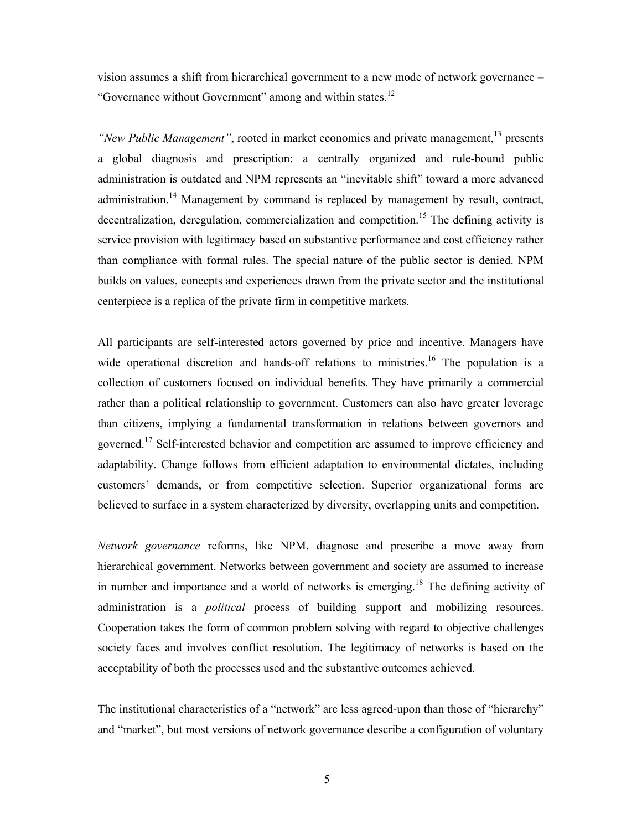vision assumes a shift from hierarchical government to a new mode of network governance – "Governance without Government" among and within states.12

*"New Public Management"*, rooted in market economics and private management,<sup>13</sup> presents a global diagnosis and prescription: a centrally organized and rule-bound public administration is outdated and NPM represents an "inevitable shift" toward a more advanced administration.<sup>14</sup> Management by command is replaced by management by result, contract, decentralization, deregulation, commercialization and competition.<sup>15</sup> The defining activity is service provision with legitimacy based on substantive performance and cost efficiency rather than compliance with formal rules. The special nature of the public sector is denied. NPM builds on values, concepts and experiences drawn from the private sector and the institutional centerpiece is a replica of the private firm in competitive markets.

All participants are self-interested actors governed by price and incentive. Managers have wide operational discretion and hands-off relations to ministries.<sup>16</sup> The population is a collection of customers focused on individual benefits. They have primarily a commercial rather than a political relationship to government. Customers can also have greater leverage than citizens, implying a fundamental transformation in relations between governors and governed.<sup>17</sup> Self-interested behavior and competition are assumed to improve efficiency and adaptability. Change follows from efficient adaptation to environmental dictates, including customers' demands, or from competitive selection. Superior organizational forms are believed to surface in a system characterized by diversity, overlapping units and competition.

*Network governance* reforms, like NPM, diagnose and prescribe a move away from hierarchical government. Networks between government and society are assumed to increase in number and importance and a world of networks is emerging.<sup>18</sup> The defining activity of administration is a *political* process of building support and mobilizing resources. Cooperation takes the form of common problem solving with regard to objective challenges society faces and involves conflict resolution. The legitimacy of networks is based on the acceptability of both the processes used and the substantive outcomes achieved.

The institutional characteristics of a "network" are less agreed-upon than those of "hierarchy" and "market", but most versions of network governance describe a configuration of voluntary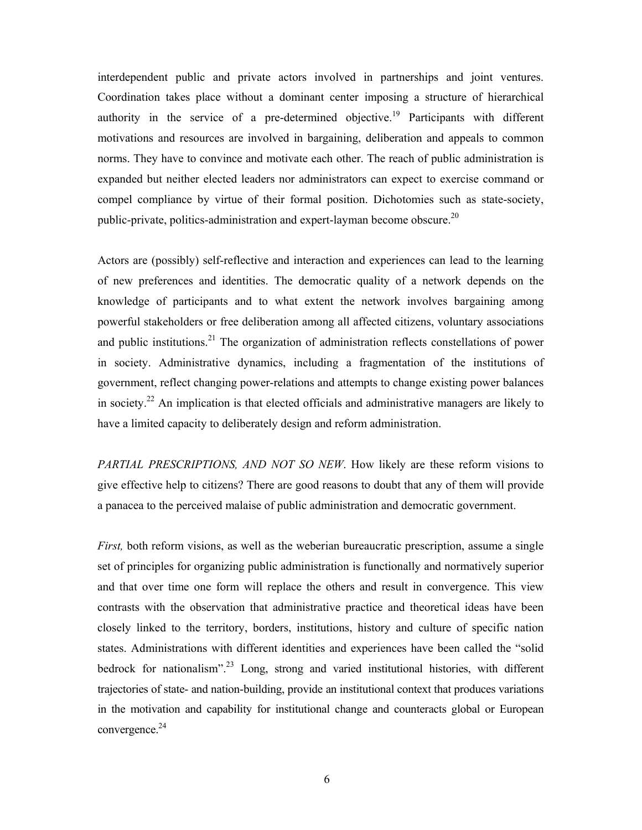interdependent public and private actors involved in partnerships and joint ventures. Coordination takes place without a dominant center imposing a structure of hierarchical authority in the service of a pre-determined objective.<sup>19</sup> Participants with different motivations and resources are involved in bargaining, deliberation and appeals to common norms. They have to convince and motivate each other. The reach of public administration is expanded but neither elected leaders nor administrators can expect to exercise command or compel compliance by virtue of their formal position. Dichotomies such as state-society, public-private, politics-administration and expert-layman become obscure.<sup>20</sup>

Actors are (possibly) self-reflective and interaction and experiences can lead to the learning of new preferences and identities. The democratic quality of a network depends on the knowledge of participants and to what extent the network involves bargaining among powerful stakeholders or free deliberation among all affected citizens, voluntary associations and public institutions.<sup>21</sup> The organization of administration reflects constellations of power in society. Administrative dynamics, including a fragmentation of the institutions of government, reflect changing power-relations and attempts to change existing power balances in society.<sup>22</sup> An implication is that elected officials and administrative managers are likely to have a limited capacity to deliberately design and reform administration.

*PARTIAL PRESCRIPTIONS, AND NOT SO NEW*. How likely are these reform visions to give effective help to citizens? There are good reasons to doubt that any of them will provide a panacea to the perceived malaise of public administration and democratic government.

*First,* both reform visions, as well as the weberian bureaucratic prescription, assume a single set of principles for organizing public administration is functionally and normatively superior and that over time one form will replace the others and result in convergence. This view contrasts with the observation that administrative practice and theoretical ideas have been closely linked to the territory, borders, institutions, history and culture of specific nation states. Administrations with different identities and experiences have been called the "solid bedrock for nationalism".<sup>23</sup> Long, strong and varied institutional histories, with different trajectories of state- and nation-building, provide an institutional context that produces variations in the motivation and capability for institutional change and counteracts global or European convergence.<sup>24</sup>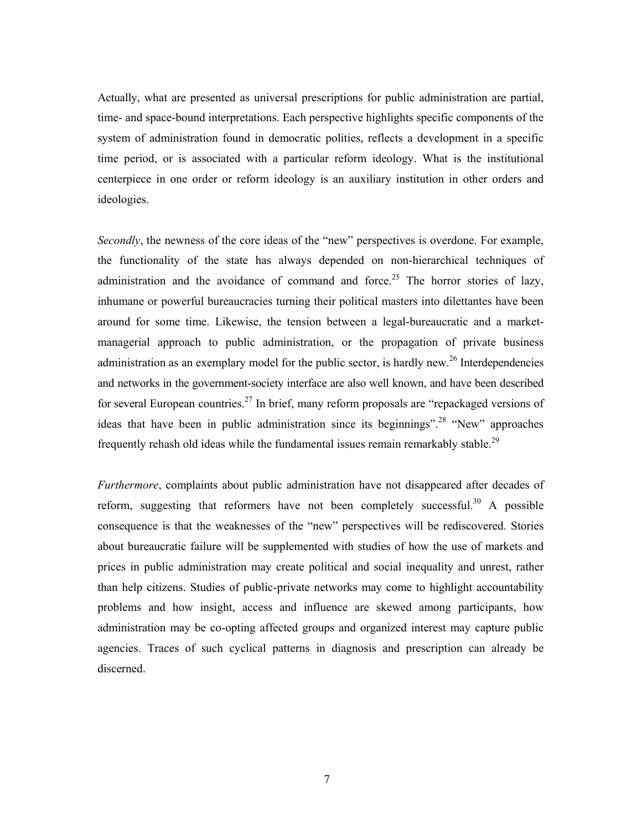Actually, what are presented as universal prescriptions for public administration are partial, time- and space-bound interpretations. Each perspective highlights specific components of the system of administration found in democratic polities, reflects a development in a specific time period, or is associated with a particular reform ideology. What is the institutional centerpiece in one order or reform ideology is an auxiliary institution in other orders and ideologies.

*Secondly*, the newness of the core ideas of the "new" perspectives is overdone. For example, the functionality of the state has always depended on non-hierarchical techniques of administration and the avoidance of command and force.<sup>25</sup> The horror stories of lazy, inhumane or powerful bureaucracies turning their political masters into dilettantes have been around for some time. Likewise, the tension between a legal-bureaucratic and a marketmanagerial approach to public administration, or the propagation of private business administration as an exemplary model for the public sector, is hardly new.<sup>26</sup> Interdependencies and networks in the government-society interface are also well known, and have been described for several European countries.<sup>27</sup> In brief, many reform proposals are "repackaged versions of ideas that have been in public administration since its beginnings".<sup>28</sup> "New" approaches frequently rehash old ideas while the fundamental issues remain remarkably stable.<sup>29</sup>

*Furthermore*, complaints about public administration have not disappeared after decades of reform, suggesting that reformers have not been completely successful.<sup>30</sup> A possible consequence is that the weaknesses of the "new" perspectives will be rediscovered. Stories about bureaucratic failure will be supplemented with studies of how the use of markets and prices in public administration may create political and social inequality and unrest, rather than help citizens. Studies of public-private networks may come to highlight accountability problems and how insight, access and influence are skewed among participants, how administration may be co-opting affected groups and organized interest may capture public agencies. Traces of such cyclical patterns in diagnosis and prescription can already be discerned.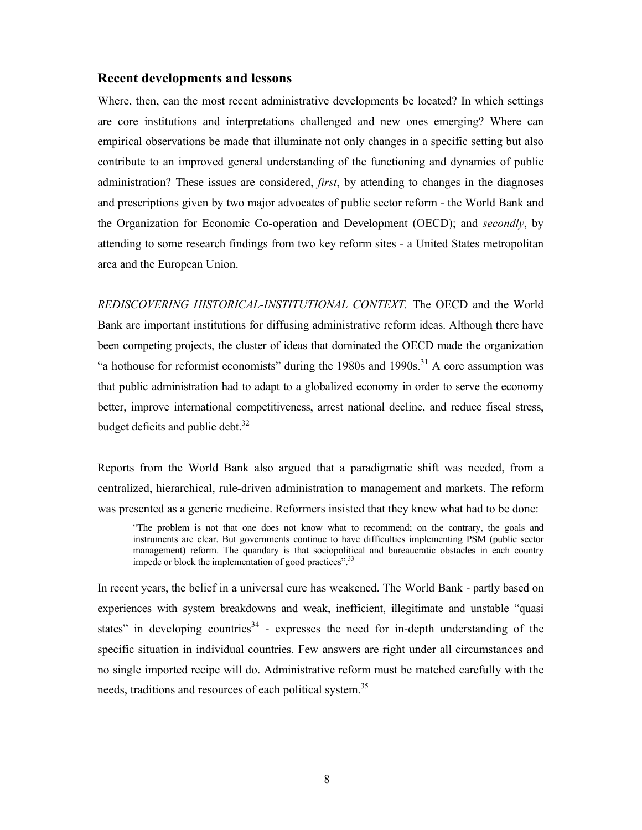#### **Recent developments and lessons**

Where, then, can the most recent administrative developments be located? In which settings are core institutions and interpretations challenged and new ones emerging? Where can empirical observations be made that illuminate not only changes in a specific setting but also contribute to an improved general understanding of the functioning and dynamics of public administration? These issues are considered, *first*, by attending to changes in the diagnoses and prescriptions given by two major advocates of public sector reform - the World Bank and the Organization for Economic Co-operation and Development (OECD); and *secondly*, by attending to some research findings from two key reform sites - a United States metropolitan area and the European Union.

*REDISCOVERING HISTORICAL-INSTITUTIONAL CONTEXT.* The OECD and the World Bank are important institutions for diffusing administrative reform ideas. Although there have been competing projects, the cluster of ideas that dominated the OECD made the organization "a hothouse for reformist economists" during the 1980s and  $1990s$ .<sup>31</sup> A core assumption was that public administration had to adapt to a globalized economy in order to serve the economy better, improve international competitiveness, arrest national decline, and reduce fiscal stress, budget deficits and public debt. $32$ 

Reports from the World Bank also argued that a paradigmatic shift was needed, from a centralized, hierarchical, rule-driven administration to management and markets. The reform was presented as a generic medicine. Reformers insisted that they knew what had to be done:

"The problem is not that one does not know what to recommend; on the contrary, the goals and instruments are clear. But governments continue to have difficulties implementing PSM (public sector management) reform. The quandary is that sociopolitical and bureaucratic obstacles in each country impede or block the implementation of good practices".<sup>33</sup>

In recent years, the belief in a universal cure has weakened. The World Bank - partly based on experiences with system breakdowns and weak, inefficient, illegitimate and unstable "quasi states" in developing countries<sup>34</sup> - expresses the need for in-depth understanding of the specific situation in individual countries. Few answers are right under all circumstances and no single imported recipe will do. Administrative reform must be matched carefully with the needs, traditions and resources of each political system.<sup>35</sup>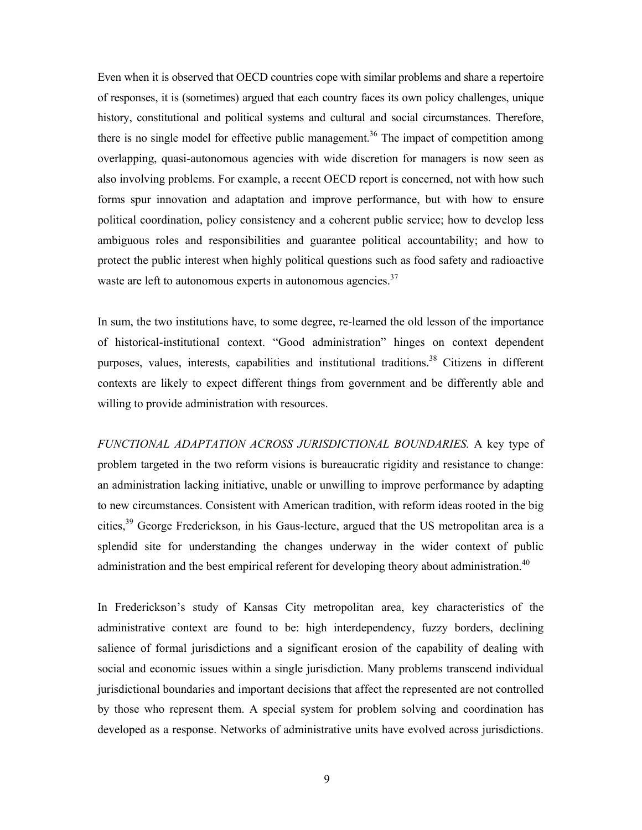Even when it is observed that OECD countries cope with similar problems and share a repertoire of responses, it is (sometimes) argued that each country faces its own policy challenges, unique history, constitutional and political systems and cultural and social circumstances. Therefore, there is no single model for effective public management.<sup>36</sup> The impact of competition among overlapping, quasi-autonomous agencies with wide discretion for managers is now seen as also involving problems. For example, a recent OECD report is concerned, not with how such forms spur innovation and adaptation and improve performance, but with how to ensure political coordination, policy consistency and a coherent public service; how to develop less ambiguous roles and responsibilities and guarantee political accountability; and how to protect the public interest when highly political questions such as food safety and radioactive waste are left to autonomous experts in autonomous agencies. $37$ 

In sum, the two institutions have, to some degree, re-learned the old lesson of the importance of historical-institutional context. "Good administration" hinges on context dependent purposes, values, interests, capabilities and institutional traditions.<sup>38</sup> Citizens in different contexts are likely to expect different things from government and be differently able and willing to provide administration with resources.

*FUNCTIONAL ADAPTATION ACROSS JURISDICTIONAL BOUNDARIES.* A key type of problem targeted in the two reform visions is bureaucratic rigidity and resistance to change: an administration lacking initiative, unable or unwilling to improve performance by adapting to new circumstances. Consistent with American tradition, with reform ideas rooted in the big cities,39 George Frederickson, in his Gaus-lecture, argued that the US metropolitan area is a splendid site for understanding the changes underway in the wider context of public administration and the best empirical referent for developing theory about administration.<sup>40</sup>

In Frederickson's study of Kansas City metropolitan area, key characteristics of the administrative context are found to be: high interdependency, fuzzy borders, declining salience of formal jurisdictions and a significant erosion of the capability of dealing with social and economic issues within a single jurisdiction. Many problems transcend individual jurisdictional boundaries and important decisions that affect the represented are not controlled by those who represent them. A special system for problem solving and coordination has developed as a response. Networks of administrative units have evolved across jurisdictions.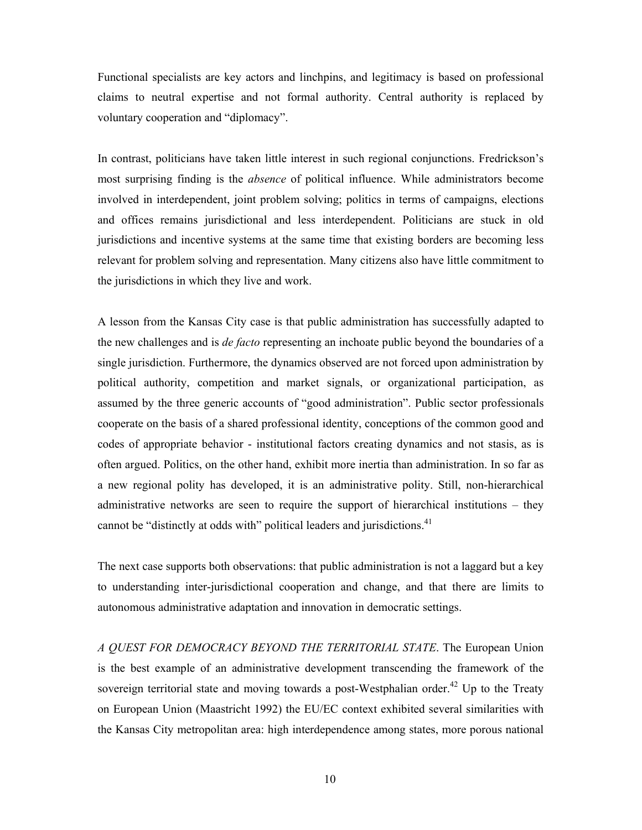Functional specialists are key actors and linchpins, and legitimacy is based on professional claims to neutral expertise and not formal authority. Central authority is replaced by voluntary cooperation and "diplomacy".

In contrast, politicians have taken little interest in such regional conjunctions. Fredrickson's most surprising finding is the *absence* of political influence. While administrators become involved in interdependent, joint problem solving; politics in terms of campaigns, elections and offices remains jurisdictional and less interdependent. Politicians are stuck in old jurisdictions and incentive systems at the same time that existing borders are becoming less relevant for problem solving and representation. Many citizens also have little commitment to the jurisdictions in which they live and work.

A lesson from the Kansas City case is that public administration has successfully adapted to the new challenges and is *de facto* representing an inchoate public beyond the boundaries of a single jurisdiction. Furthermore, the dynamics observed are not forced upon administration by political authority, competition and market signals, or organizational participation, as assumed by the three generic accounts of "good administration". Public sector professionals cooperate on the basis of a shared professional identity, conceptions of the common good and codes of appropriate behavior - institutional factors creating dynamics and not stasis, as is often argued. Politics, on the other hand, exhibit more inertia than administration. In so far as a new regional polity has developed, it is an administrative polity. Still, non-hierarchical administrative networks are seen to require the support of hierarchical institutions – they cannot be "distinctly at odds with" political leaders and jurisdictions.<sup>41</sup>

The next case supports both observations: that public administration is not a laggard but a key to understanding inter-jurisdictional cooperation and change, and that there are limits to autonomous administrative adaptation and innovation in democratic settings.

*A QUEST FOR DEMOCRACY BEYOND THE TERRITORIAL STATE*. The European Union is the best example of an administrative development transcending the framework of the sovereign territorial state and moving towards a post-Westphalian order.<sup>42</sup> Up to the Treaty on European Union (Maastricht 1992) the EU/EC context exhibited several similarities with the Kansas City metropolitan area: high interdependence among states, more porous national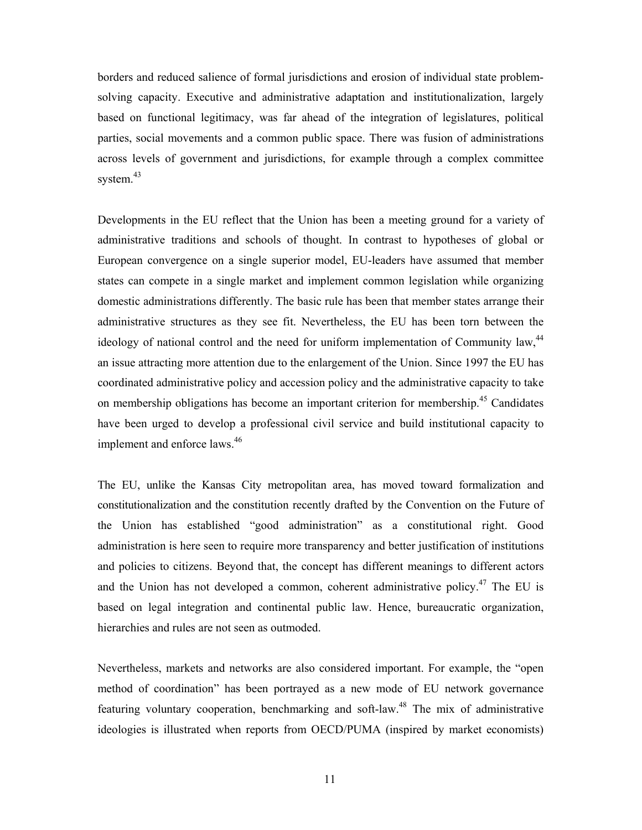borders and reduced salience of formal jurisdictions and erosion of individual state problemsolving capacity. Executive and administrative adaptation and institutionalization, largely based on functional legitimacy, was far ahead of the integration of legislatures, political parties, social movements and a common public space. There was fusion of administrations across levels of government and jurisdictions, for example through a complex committee system. $43$ 

Developments in the EU reflect that the Union has been a meeting ground for a variety of administrative traditions and schools of thought. In contrast to hypotheses of global or European convergence on a single superior model, EU-leaders have assumed that member states can compete in a single market and implement common legislation while organizing domestic administrations differently. The basic rule has been that member states arrange their administrative structures as they see fit. Nevertheless, the EU has been torn between the ideology of national control and the need for uniform implementation of Community law,  $44$ an issue attracting more attention due to the enlargement of the Union. Since 1997 the EU has coordinated administrative policy and accession policy and the administrative capacity to take on membership obligations has become an important criterion for membership.<sup>45</sup> Candidates have been urged to develop a professional civil service and build institutional capacity to implement and enforce laws.<sup>46</sup>

The EU, unlike the Kansas City metropolitan area, has moved toward formalization and constitutionalization and the constitution recently drafted by the Convention on the Future of the Union has established "good administration" as a constitutional right. Good administration is here seen to require more transparency and better justification of institutions and policies to citizens. Beyond that, the concept has different meanings to different actors and the Union has not developed a common, coherent administrative policy.<sup>47</sup> The EU is based on legal integration and continental public law. Hence, bureaucratic organization, hierarchies and rules are not seen as outmoded.

Nevertheless, markets and networks are also considered important. For example, the "open method of coordination" has been portrayed as a new mode of EU network governance featuring voluntary cooperation, benchmarking and soft-law.48 The mix of administrative ideologies is illustrated when reports from OECD/PUMA (inspired by market economists)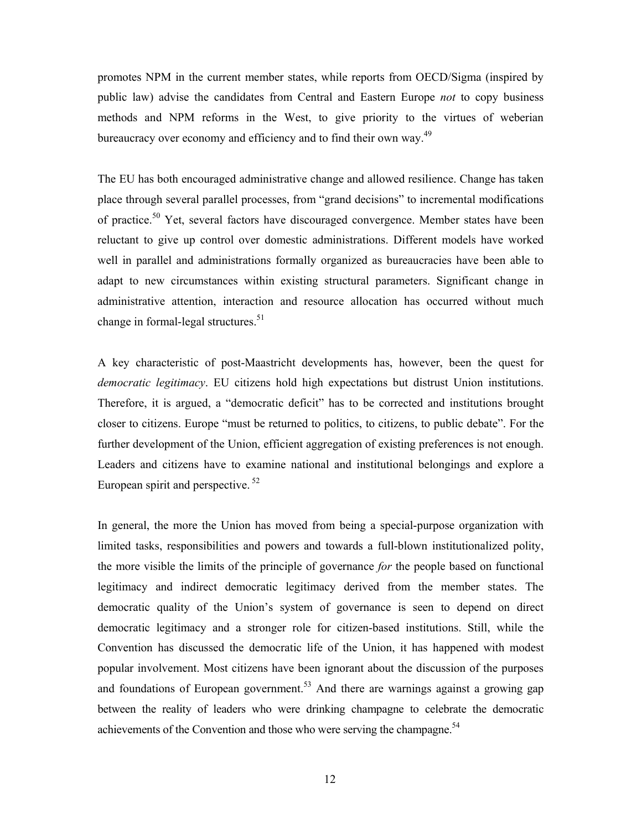promotes NPM in the current member states, while reports from OECD/Sigma (inspired by public law) advise the candidates from Central and Eastern Europe *not* to copy business methods and NPM reforms in the West, to give priority to the virtues of weberian bureaucracy over economy and efficiency and to find their own way.<sup>49</sup>

The EU has both encouraged administrative change and allowed resilience. Change has taken place through several parallel processes, from "grand decisions" to incremental modifications of practice.<sup>50</sup> Yet, several factors have discouraged convergence. Member states have been reluctant to give up control over domestic administrations. Different models have worked well in parallel and administrations formally organized as bureaucracies have been able to adapt to new circumstances within existing structural parameters. Significant change in administrative attention, interaction and resource allocation has occurred without much change in formal-legal structures. $51$ 

A key characteristic of post-Maastricht developments has, however, been the quest for *democratic legitimacy*. EU citizens hold high expectations but distrust Union institutions. Therefore, it is argued, a "democratic deficit" has to be corrected and institutions brought closer to citizens. Europe "must be returned to politics, to citizens, to public debate". For the further development of the Union, efficient aggregation of existing preferences is not enough. Leaders and citizens have to examine national and institutional belongings and explore a European spirit and perspective. 52

In general, the more the Union has moved from being a special-purpose organization with limited tasks, responsibilities and powers and towards a full-blown institutionalized polity, the more visible the limits of the principle of governance *for* the people based on functional legitimacy and indirect democratic legitimacy derived from the member states. The democratic quality of the Union's system of governance is seen to depend on direct democratic legitimacy and a stronger role for citizen-based institutions. Still, while the Convention has discussed the democratic life of the Union, it has happened with modest popular involvement. Most citizens have been ignorant about the discussion of the purposes and foundations of European government.<sup>53</sup> And there are warnings against a growing gap between the reality of leaders who were drinking champagne to celebrate the democratic achievements of the Convention and those who were serving the champagne.<sup>54</sup>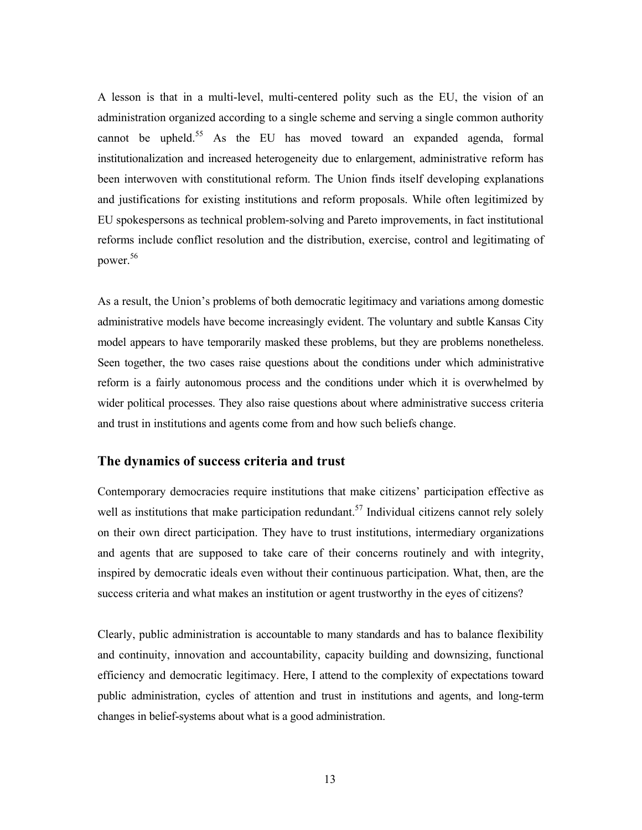A lesson is that in a multi-level, multi-centered polity such as the EU, the vision of an administration organized according to a single scheme and serving a single common authority cannot be upheld.<sup>55</sup> As the EU has moved toward an expanded agenda, formal institutionalization and increased heterogeneity due to enlargement, administrative reform has been interwoven with constitutional reform. The Union finds itself developing explanations and justifications for existing institutions and reform proposals. While often legitimized by EU spokespersons as technical problem-solving and Pareto improvements, in fact institutional reforms include conflict resolution and the distribution, exercise, control and legitimating of power.56

As a result, the Union's problems of both democratic legitimacy and variations among domestic administrative models have become increasingly evident. The voluntary and subtle Kansas City model appears to have temporarily masked these problems, but they are problems nonetheless. Seen together, the two cases raise questions about the conditions under which administrative reform is a fairly autonomous process and the conditions under which it is overwhelmed by wider political processes. They also raise questions about where administrative success criteria and trust in institutions and agents come from and how such beliefs change.

### **The dynamics of success criteria and trust**

Contemporary democracies require institutions that make citizens' participation effective as well as institutions that make participation redundant.<sup>57</sup> Individual citizens cannot rely solely on their own direct participation. They have to trust institutions, intermediary organizations and agents that are supposed to take care of their concerns routinely and with integrity, inspired by democratic ideals even without their continuous participation. What, then, are the success criteria and what makes an institution or agent trustworthy in the eyes of citizens?

Clearly, public administration is accountable to many standards and has to balance flexibility and continuity, innovation and accountability, capacity building and downsizing, functional efficiency and democratic legitimacy. Here, I attend to the complexity of expectations toward public administration, cycles of attention and trust in institutions and agents, and long-term changes in belief-systems about what is a good administration.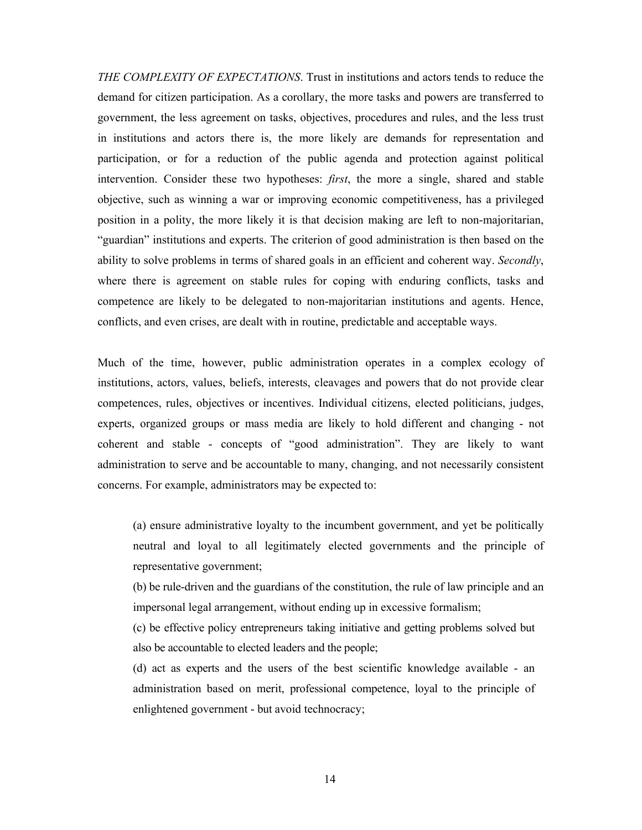*THE COMPLEXITY OF EXPECTATIONS*. Trust in institutions and actors tends to reduce the demand for citizen participation. As a corollary, the more tasks and powers are transferred to government, the less agreement on tasks, objectives, procedures and rules, and the less trust in institutions and actors there is, the more likely are demands for representation and participation, or for a reduction of the public agenda and protection against political intervention. Consider these two hypotheses: *first*, the more a single, shared and stable objective, such as winning a war or improving economic competitiveness, has a privileged position in a polity, the more likely it is that decision making are left to non-majoritarian, "guardian" institutions and experts. The criterion of good administration is then based on the ability to solve problems in terms of shared goals in an efficient and coherent way. *Secondly*, where there is agreement on stable rules for coping with enduring conflicts, tasks and competence are likely to be delegated to non-majoritarian institutions and agents. Hence, conflicts, and even crises, are dealt with in routine, predictable and acceptable ways.

Much of the time, however, public administration operates in a complex ecology of institutions, actors, values, beliefs, interests, cleavages and powers that do not provide clear competences, rules, objectives or incentives. Individual citizens, elected politicians, judges, experts, organized groups or mass media are likely to hold different and changing - not coherent and stable - concepts of "good administration". They are likely to want administration to serve and be accountable to many, changing, and not necessarily consistent concerns. For example, administrators may be expected to:

(a) ensure administrative loyalty to the incumbent government, and yet be politically neutral and loyal to all legitimately elected governments and the principle of representative government;

(b) be rule-driven and the guardians of the constitution, the rule of law principle and an impersonal legal arrangement, without ending up in excessive formalism;

(c) be effective policy entrepreneurs taking initiative and getting problems solved but also be accountable to elected leaders and the people;

(d) act as experts and the users of the best scientific knowledge available - an administration based on merit, professional competence, loyal to the principle of enlightened government - but avoid technocracy;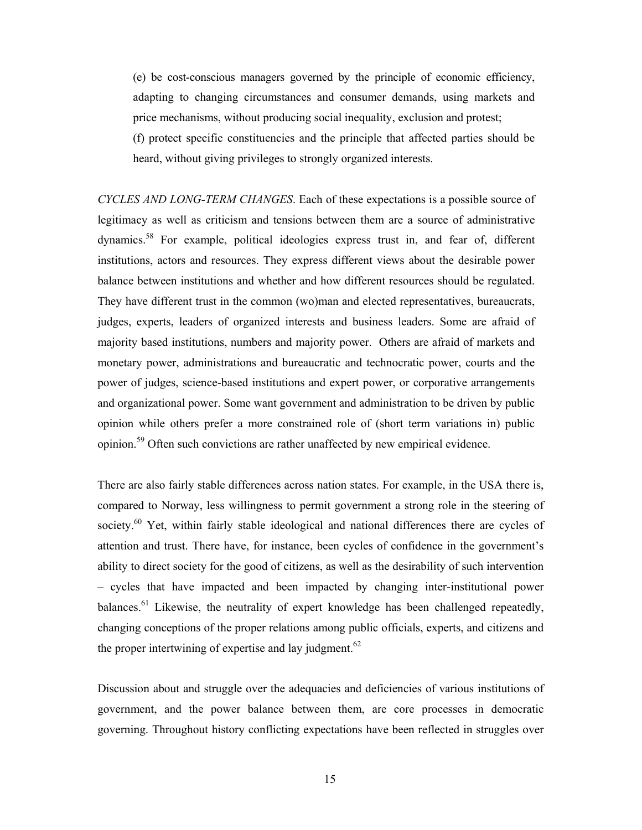(e) be cost-conscious managers governed by the principle of economic efficiency, adapting to changing circumstances and consumer demands, using markets and price mechanisms, without producing social inequality, exclusion and protest; (f) protect specific constituencies and the principle that affected parties should be heard, without giving privileges to strongly organized interests.

*CYCLES AND LONG-TERM CHANGES*. Each of these expectations is a possible source of legitimacy as well as criticism and tensions between them are a source of administrative dynamics.58 For example, political ideologies express trust in, and fear of, different institutions, actors and resources. They express different views about the desirable power balance between institutions and whether and how different resources should be regulated. They have different trust in the common (wo)man and elected representatives, bureaucrats, judges, experts, leaders of organized interests and business leaders. Some are afraid of majority based institutions, numbers and majority power. Others are afraid of markets and monetary power, administrations and bureaucratic and technocratic power, courts and the power of judges, science-based institutions and expert power, or corporative arrangements and organizational power. Some want government and administration to be driven by public opinion while others prefer a more constrained role of (short term variations in) public opinion.59 Often such convictions are rather unaffected by new empirical evidence.

There are also fairly stable differences across nation states. For example, in the USA there is, compared to Norway, less willingness to permit government a strong role in the steering of society.<sup>60</sup> Yet, within fairly stable ideological and national differences there are cycles of attention and trust. There have, for instance, been cycles of confidence in the government's ability to direct society for the good of citizens, as well as the desirability of such intervention – cycles that have impacted and been impacted by changing inter-institutional power balances.<sup>61</sup> Likewise, the neutrality of expert knowledge has been challenged repeatedly, changing conceptions of the proper relations among public officials, experts, and citizens and the proper intertwining of expertise and lay judgment.<sup>62</sup>

Discussion about and struggle over the adequacies and deficiencies of various institutions of government, and the power balance between them, are core processes in democratic governing. Throughout history conflicting expectations have been reflected in struggles over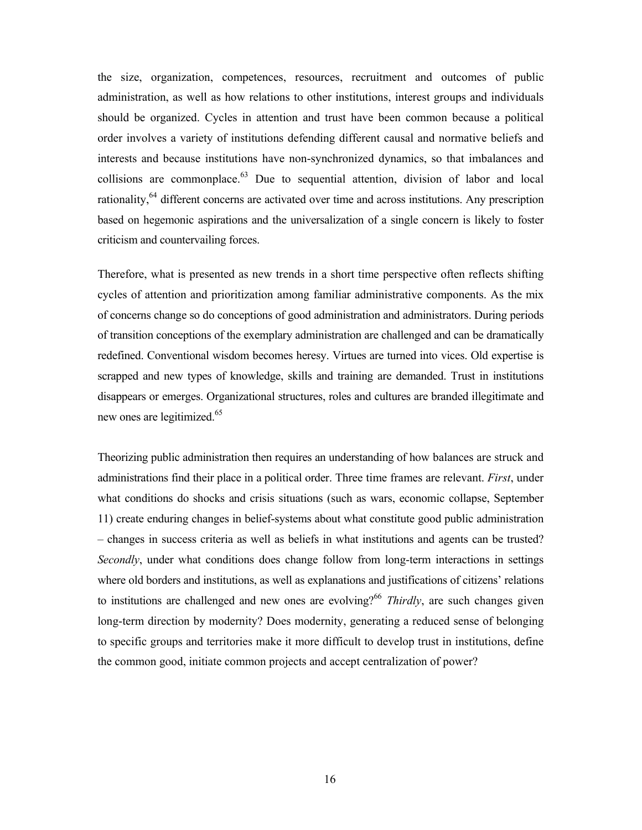the size, organization, competences, resources, recruitment and outcomes of public administration, as well as how relations to other institutions, interest groups and individuals should be organized. Cycles in attention and trust have been common because a political order involves a variety of institutions defending different causal and normative beliefs and interests and because institutions have non-synchronized dynamics, so that imbalances and collisions are commonplace. $63$  Due to sequential attention, division of labor and local rationality, $64$  different concerns are activated over time and across institutions. Any prescription based on hegemonic aspirations and the universalization of a single concern is likely to foster criticism and countervailing forces.

Therefore, what is presented as new trends in a short time perspective often reflects shifting cycles of attention and prioritization among familiar administrative components. As the mix of concerns change so do conceptions of good administration and administrators. During periods of transition conceptions of the exemplary administration are challenged and can be dramatically redefined. Conventional wisdom becomes heresy. Virtues are turned into vices. Old expertise is scrapped and new types of knowledge, skills and training are demanded. Trust in institutions disappears or emerges. Organizational structures, roles and cultures are branded illegitimate and new ones are legitimized.65

Theorizing public administration then requires an understanding of how balances are struck and administrations find their place in a political order. Three time frames are relevant. *First*, under what conditions do shocks and crisis situations (such as wars, economic collapse, September 11) create enduring changes in belief-systems about what constitute good public administration – changes in success criteria as well as beliefs in what institutions and agents can be trusted? *Secondly*, under what conditions does change follow from long-term interactions in settings where old borders and institutions, as well as explanations and justifications of citizens' relations to institutions are challenged and new ones are evolving?<sup>66</sup> *Thirdly*, are such changes given long-term direction by modernity? Does modernity, generating a reduced sense of belonging to specific groups and territories make it more difficult to develop trust in institutions, define the common good, initiate common projects and accept centralization of power?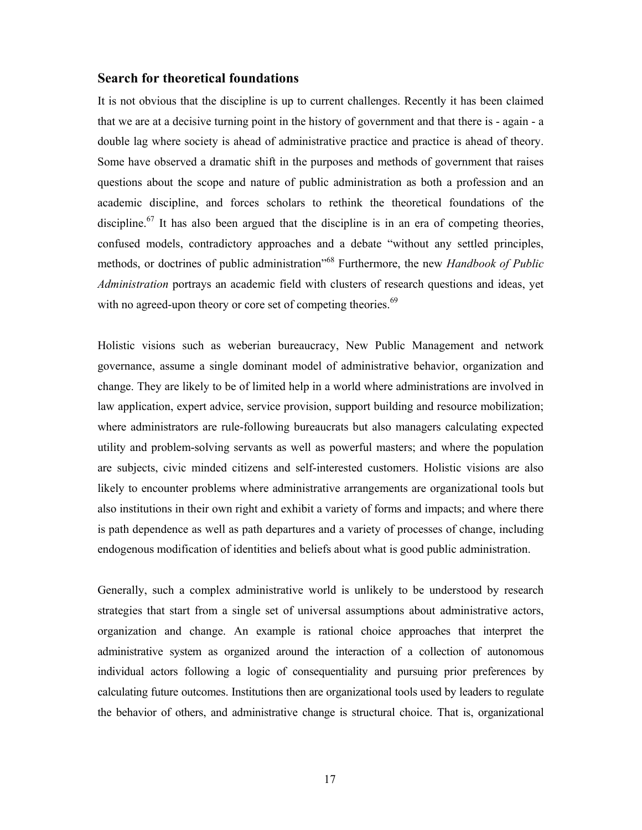#### **Search for theoretical foundations**

It is not obvious that the discipline is up to current challenges. Recently it has been claimed that we are at a decisive turning point in the history of government and that there is - again - a double lag where society is ahead of administrative practice and practice is ahead of theory. Some have observed a dramatic shift in the purposes and methods of government that raises questions about the scope and nature of public administration as both a profession and an academic discipline, and forces scholars to rethink the theoretical foundations of the discipline.<sup>67</sup> It has also been argued that the discipline is in an era of competing theories, confused models, contradictory approaches and a debate "without any settled principles, methods, or doctrines of public administration"68 Furthermore, the new *Handbook of Public Administration* portrays an academic field with clusters of research questions and ideas, yet with no agreed-upon theory or core set of competing theories.<sup>69</sup>

Holistic visions such as weberian bureaucracy, New Public Management and network governance, assume a single dominant model of administrative behavior, organization and change. They are likely to be of limited help in a world where administrations are involved in law application, expert advice, service provision, support building and resource mobilization; where administrators are rule-following bureaucrats but also managers calculating expected utility and problem-solving servants as well as powerful masters; and where the population are subjects, civic minded citizens and self-interested customers. Holistic visions are also likely to encounter problems where administrative arrangements are organizational tools but also institutions in their own right and exhibit a variety of forms and impacts; and where there is path dependence as well as path departures and a variety of processes of change, including endogenous modification of identities and beliefs about what is good public administration.

Generally, such a complex administrative world is unlikely to be understood by research strategies that start from a single set of universal assumptions about administrative actors, organization and change. An example is rational choice approaches that interpret the administrative system as organized around the interaction of a collection of autonomous individual actors following a logic of consequentiality and pursuing prior preferences by calculating future outcomes. Institutions then are organizational tools used by leaders to regulate the behavior of others, and administrative change is structural choice. That is, organizational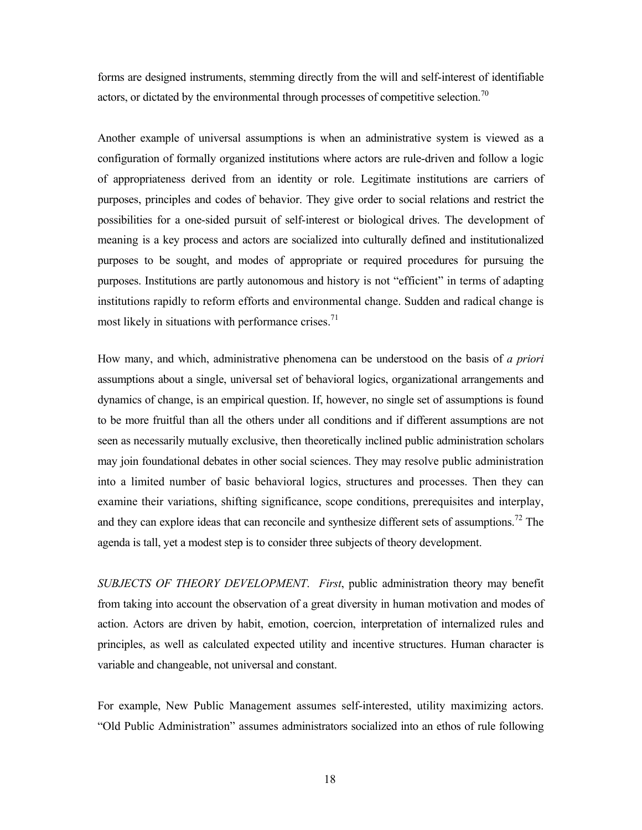forms are designed instruments, stemming directly from the will and self-interest of identifiable actors, or dictated by the environmental through processes of competitive selection.<sup>70</sup>

Another example of universal assumptions is when an administrative system is viewed as a configuration of formally organized institutions where actors are rule-driven and follow a logic of appropriateness derived from an identity or role. Legitimate institutions are carriers of purposes, principles and codes of behavior. They give order to social relations and restrict the possibilities for a one-sided pursuit of self-interest or biological drives. The development of meaning is a key process and actors are socialized into culturally defined and institutionalized purposes to be sought, and modes of appropriate or required procedures for pursuing the purposes. Institutions are partly autonomous and history is not "efficient" in terms of adapting institutions rapidly to reform efforts and environmental change. Sudden and radical change is most likely in situations with performance crises. $<sup>71</sup>$ </sup>

How many, and which, administrative phenomena can be understood on the basis of *a priori* assumptions about a single, universal set of behavioral logics, organizational arrangements and dynamics of change, is an empirical question. If, however, no single set of assumptions is found to be more fruitful than all the others under all conditions and if different assumptions are not seen as necessarily mutually exclusive, then theoretically inclined public administration scholars may join foundational debates in other social sciences. They may resolve public administration into a limited number of basic behavioral logics, structures and processes. Then they can examine their variations, shifting significance, scope conditions, prerequisites and interplay, and they can explore ideas that can reconcile and synthesize different sets of assumptions.<sup>72</sup> The agenda is tall, yet a modest step is to consider three subjects of theory development.

*SUBJECTS OF THEORY DEVELOPMENT*. *First*, public administration theory may benefit from taking into account the observation of a great diversity in human motivation and modes of action. Actors are driven by habit, emotion, coercion, interpretation of internalized rules and principles, as well as calculated expected utility and incentive structures. Human character is variable and changeable, not universal and constant.

For example, New Public Management assumes self-interested, utility maximizing actors. "Old Public Administration" assumes administrators socialized into an ethos of rule following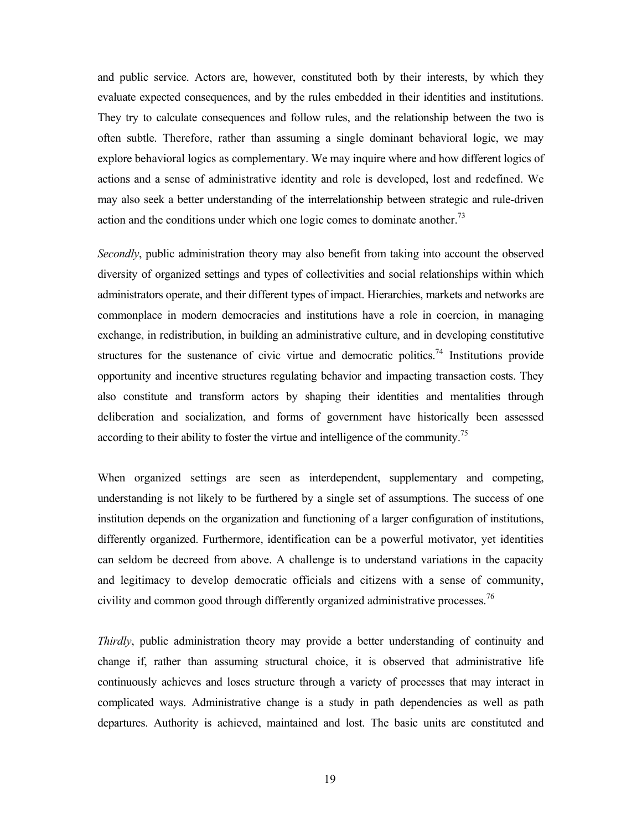and public service. Actors are, however, constituted both by their interests, by which they evaluate expected consequences, and by the rules embedded in their identities and institutions. They try to calculate consequences and follow rules, and the relationship between the two is often subtle. Therefore, rather than assuming a single dominant behavioral logic, we may explore behavioral logics as complementary. We may inquire where and how different logics of actions and a sense of administrative identity and role is developed, lost and redefined. We may also seek a better understanding of the interrelationship between strategic and rule-driven action and the conditions under which one logic comes to dominate another.<sup>73</sup>

*Secondly*, public administration theory may also benefit from taking into account the observed diversity of organized settings and types of collectivities and social relationships within which administrators operate, and their different types of impact. Hierarchies, markets and networks are commonplace in modern democracies and institutions have a role in coercion, in managing exchange, in redistribution, in building an administrative culture, and in developing constitutive structures for the sustenance of civic virtue and democratic politics.<sup>74</sup> Institutions provide opportunity and incentive structures regulating behavior and impacting transaction costs. They also constitute and transform actors by shaping their identities and mentalities through deliberation and socialization, and forms of government have historically been assessed according to their ability to foster the virtue and intelligence of the community.<sup>75</sup>

When organized settings are seen as interdependent, supplementary and competing, understanding is not likely to be furthered by a single set of assumptions. The success of one institution depends on the organization and functioning of a larger configuration of institutions, differently organized. Furthermore, identification can be a powerful motivator, yet identities can seldom be decreed from above. A challenge is to understand variations in the capacity and legitimacy to develop democratic officials and citizens with a sense of community, civility and common good through differently organized administrative processes.<sup>76</sup>

*Thirdly*, public administration theory may provide a better understanding of continuity and change if, rather than assuming structural choice, it is observed that administrative life continuously achieves and loses structure through a variety of processes that may interact in complicated ways. Administrative change is a study in path dependencies as well as path departures. Authority is achieved, maintained and lost. The basic units are constituted and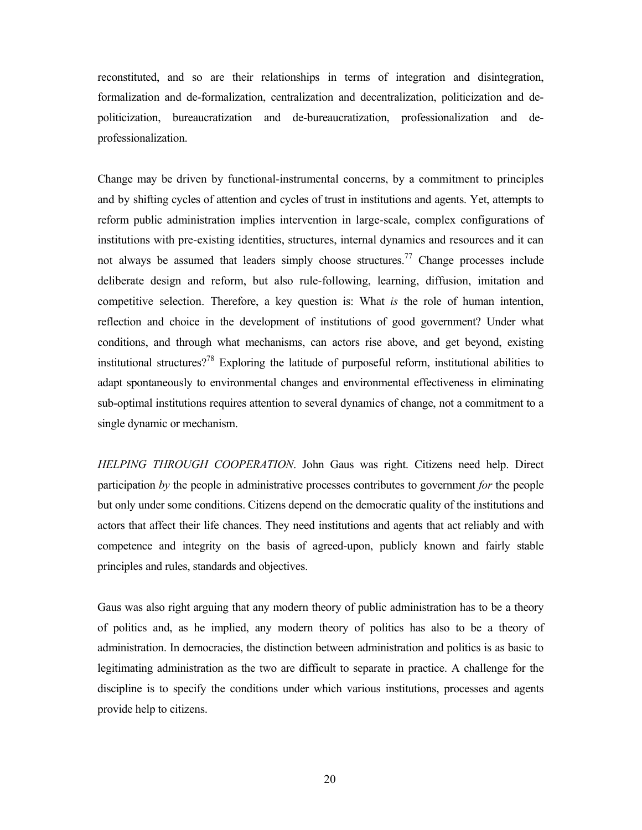reconstituted, and so are their relationships in terms of integration and disintegration, formalization and de-formalization, centralization and decentralization, politicization and depoliticization, bureaucratization and de-bureaucratization, professionalization and deprofessionalization.

Change may be driven by functional-instrumental concerns, by a commitment to principles and by shifting cycles of attention and cycles of trust in institutions and agents. Yet, attempts to reform public administration implies intervention in large-scale, complex configurations of institutions with pre-existing identities, structures, internal dynamics and resources and it can not always be assumed that leaders simply choose structures.<sup>77</sup> Change processes include deliberate design and reform, but also rule-following, learning, diffusion, imitation and competitive selection. Therefore, a key question is: What *is* the role of human intention, reflection and choice in the development of institutions of good government? Under what conditions, and through what mechanisms, can actors rise above, and get beyond, existing institutional structures?<sup>78</sup> Exploring the latitude of purposeful reform, institutional abilities to adapt spontaneously to environmental changes and environmental effectiveness in eliminating sub-optimal institutions requires attention to several dynamics of change, not a commitment to a single dynamic or mechanism.

*HELPING THROUGH COOPERATION*. John Gaus was right. Citizens need help. Direct participation *by* the people in administrative processes contributes to government *for* the people but only under some conditions. Citizens depend on the democratic quality of the institutions and actors that affect their life chances. They need institutions and agents that act reliably and with competence and integrity on the basis of agreed-upon, publicly known and fairly stable principles and rules, standards and objectives.

Gaus was also right arguing that any modern theory of public administration has to be a theory of politics and, as he implied, any modern theory of politics has also to be a theory of administration. In democracies, the distinction between administration and politics is as basic to legitimating administration as the two are difficult to separate in practice. A challenge for the discipline is to specify the conditions under which various institutions, processes and agents provide help to citizens.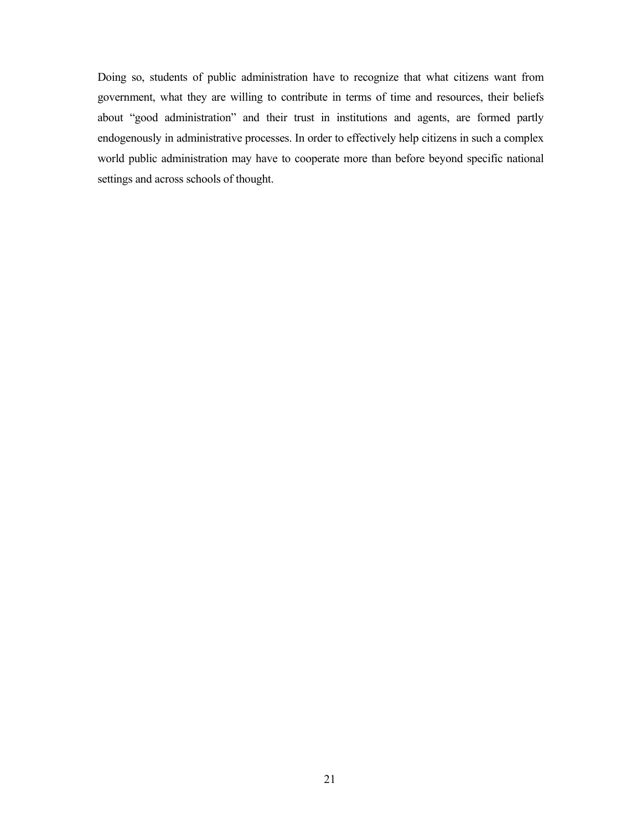Doing so, students of public administration have to recognize that what citizens want from government, what they are willing to contribute in terms of time and resources, their beliefs about "good administration" and their trust in institutions and agents, are formed partly endogenously in administrative processes. In order to effectively help citizens in such a complex world public administration may have to cooperate more than before beyond specific national settings and across schools of thought.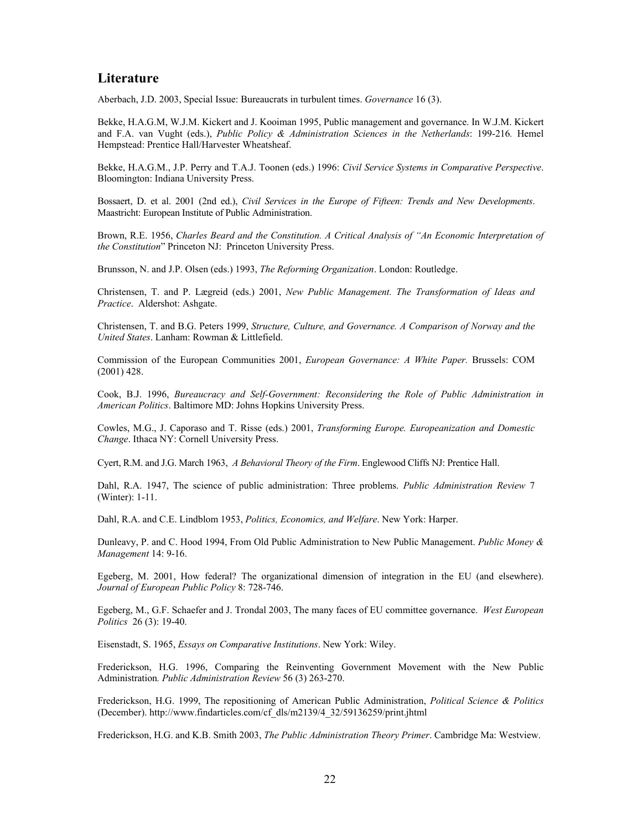#### **Literature**

Aberbach, J.D. 2003, Special Issue: Bureaucrats in turbulent times. *Governance* 16 (3).

Bekke, H.A.G.M, W.J.M. Kickert and J. Kooiman 1995, Public management and governance. In W.J.M. Kickert and F.A. van Vught (eds.), *Public Policy & Administration Sciences in the Netherlands*: 199-216*.* Hemel Hempstead: Prentice Hall/Harvester Wheatsheaf.

Bekke, H.A.G.M., J.P. Perry and T.A.J. Toonen (eds.) 1996: *Civil Service Systems in Comparative Perspective*. Bloomington: Indiana University Press.

Bossaert, D. et al. 2001 (2nd ed.), *Civil Services in the Europe of Fifteen: Trends and New Developments*. Maastricht: European Institute of Public Administration.

Brown, R.E. 1956, *Charles Beard and the Constitution. A Critical Analysis of "An Economic Interpretation of the Constitution*" Princeton NJ: Princeton University Press.

Brunsson, N. and J.P. Olsen (eds.) 1993, *The Reforming Organization*. London: Routledge.

Christensen, T. and P. Lægreid (eds.) 2001, *New Public Management. The Transformation of Ideas and Practice*. Aldershot: Ashgate.

Christensen, T. and B.G. Peters 1999, *Structure, Culture, and Governance. A Comparison of Norway and the United States*. Lanham: Rowman & Littlefield.

Commission of the European Communities 2001, *European Governance: A White Paper.* Brussels: COM (2001) 428.

Cook, B.J. 1996, *Bureaucracy and Self-Government: Reconsidering the Role of Public Administration in American Politics*. Baltimore MD: Johns Hopkins University Press.

Cowles, M.G., J. Caporaso and T. Risse (eds.) 2001, *Transforming Europe. Europeanization and Domestic Change*. Ithaca NY: Cornell University Press.

Cyert, R.M. and J.G. March 1963, *A Behavioral Theory of the Firm*. Englewood Cliffs NJ: Prentice Hall.

Dahl, R.A. 1947, The science of public administration: Three problems. *Public Administration Review* 7 (Winter): 1-11.

Dahl, R.A. and C.E. Lindblom 1953, *Politics, Economics, and Welfare*. New York: Harper.

Dunleavy, P. and C. Hood 1994, From Old Public Administration to New Public Management. *Public Money & Management* 14: 9-16.

Egeberg, M. 2001, How federal? The organizational dimension of integration in the EU (and elsewhere). *Journal of European Public Policy* 8: 728-746.

Egeberg, M., G.F. Schaefer and J. Trondal 2003, The many faces of EU committee governance. *West European Politics* 26 (3): 19-40.

Eisenstadt, S. 1965, *Essays on Comparative Institutions*. New York: Wiley.

Frederickson, H.G. 1996, Comparing the Reinventing Government Movement with the New Public Administration*. Public Administration Review* 56 (3) 263-270.

Frederickson, H.G. 1999, The repositioning of American Public Administration, *Political Science & Politics* (December). http://www.findarticles.com/cf\_dls/m2139/4\_32/59136259/print.jhtml

Frederickson, H.G. and K.B. Smith 2003, *The Public Administration Theory Primer*. Cambridge Ma: Westview.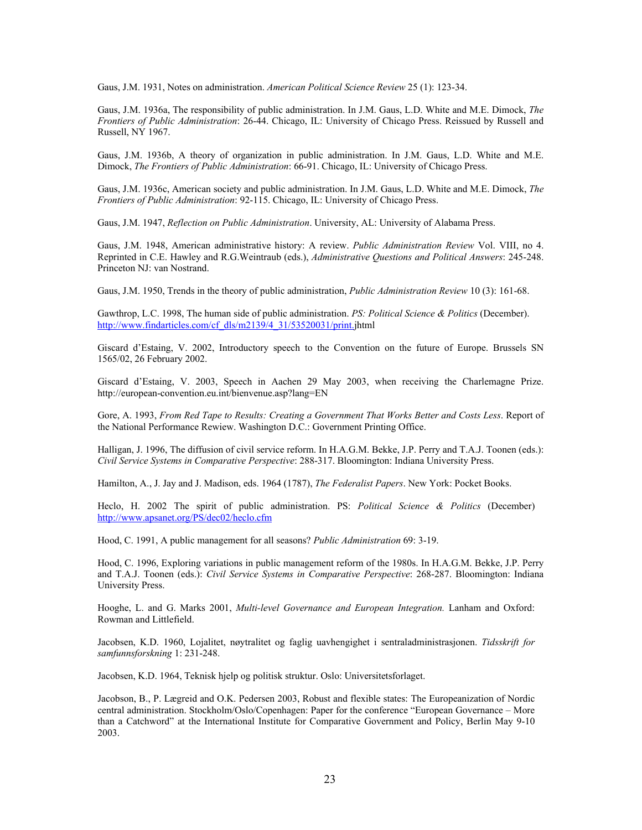Gaus, J.M. 1931, Notes on administration. *American Political Science Review* 25 (1): 123-34.

Gaus, J.M. 1936a, The responsibility of public administration. In J.M. Gaus, L.D. White and M.E. Dimock, *The Frontiers of Public Administration*: 26-44. Chicago, IL: University of Chicago Press. Reissued by Russell and Russell, NY 1967.

Gaus, J.M. 1936b, A theory of organization in public administration. In J.M. Gaus, L.D. White and M.E. Dimock, *The Frontiers of Public Administration*: 66-91. Chicago, IL: University of Chicago Press.

Gaus, J.M. 1936c, American society and public administration. In J.M. Gaus, L.D. White and M.E. Dimock, *The Frontiers of Public Administration*: 92-115. Chicago, IL: University of Chicago Press.

Gaus, J.M. 1947, *Reflection on Public Administration*. University, AL: University of Alabama Press.

Gaus, J.M. 1948, American administrative history: A review. *Public Administration Review* Vol. VIII, no 4. Reprinted in C.E. Hawley and R.G.Weintraub (eds.), *Administrative Questions and Political Answers*: 245-248. Princeton NJ: van Nostrand.

Gaus, J.M. 1950, Trends in the theory of public administration, *Public Administration Review* 10 (3): 161-68.

Gawthrop, L.C. 1998, The human side of public administration. *PS: Political Science & Politics* (December). http://www.findarticles.com/cf\_dls/m2139/4\_31/53520031/print.jhtml

Giscard d'Estaing, V. 2002, Introductory speech to the Convention on the future of Europe. Brussels SN 1565/02, 26 February 2002.

Giscard d'Estaing, V. 2003, Speech in Aachen 29 May 2003, when receiving the Charlemagne Prize. http://european-convention.eu.int/bienvenue.asp?lang=EN

Gore, A. 1993, *From Red Tape to Results: Creating a Government That Works Better and Costs Less*. Report of the National Performance Rewiew. Washington D.C.: Government Printing Office.

Halligan, J. 1996, The diffusion of civil service reform. In H.A.G.M. Bekke, J.P. Perry and T.A.J. Toonen (eds.): *Civil Service Systems in Comparative Perspective*: 288-317. Bloomington: Indiana University Press.

Hamilton, A., J. Jay and J. Madison, eds. 1964 (1787), *The Federalist Papers*. New York: Pocket Books.

Heclo, H. 2002 The spirit of public administration. PS: *Political Science & Politics* (December) http://www.apsanet.org/PS/dec02/heclo.cfm

Hood, C. 1991, A public management for all seasons? *Public Administration* 69: 3-19.

Hood, C. 1996, Exploring variations in public management reform of the 1980s. In H.A.G.M. Bekke, J.P. Perry and T.A.J. Toonen (eds.): *Civil Service Systems in Comparative Perspective*: 268-287. Bloomington: Indiana University Press.

Hooghe, L. and G. Marks 2001, *Multi-level Governance and European Integration.* Lanham and Oxford: Rowman and Littlefield.

Jacobsen, K.D. 1960, Lojalitet, nøytralitet og faglig uavhengighet i sentraladministrasjonen. *Tidsskrift for samfunnsforskning* 1: 231-248.

Jacobsen, K.D. 1964, Teknisk hjelp og politisk struktur. Oslo: Universitetsforlaget.

Jacobson, B., P. Lægreid and O.K. Pedersen 2003, Robust and flexible states: The Europeanization of Nordic central administration. Stockholm/Oslo/Copenhagen: Paper for the conference "European Governance – More than a Catchword" at the International Institute for Comparative Government and Policy, Berlin May 9-10 2003.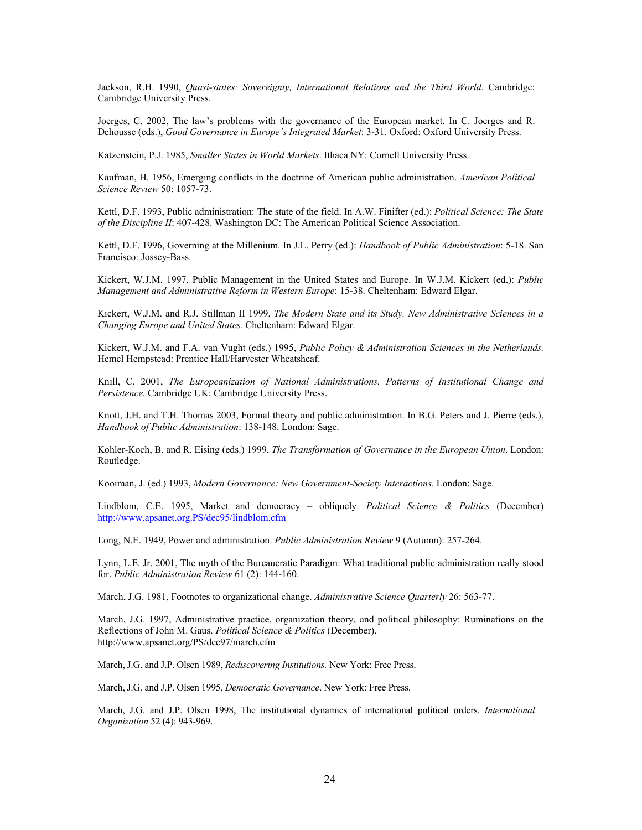Jackson, R.H. 1990, *Quasi-states: Sovereignty, International Relations and the Third World*. Cambridge: Cambridge University Press.

Joerges, C. 2002, The law's problems with the governance of the European market. In C. Joerges and R. Dehousse (eds.), *Good Governance in Europe's Integrated Market*: 3-31. Oxford: Oxford University Press.

Katzenstein, P.J. 1985, *Smaller States in World Markets*. Ithaca NY: Cornell University Press.

Kaufman, H. 1956, Emerging conflicts in the doctrine of American public administration. *American Political Science Review* 50: 1057-73.

Kettl, D.F. 1993, Public administration: The state of the field. In A.W. Finifter (ed.): *Political Science: The State of the Discipline II*: 407-428. Washington DC: The American Political Science Association.

Kettl, D.F. 1996, Governing at the Millenium. In J.L. Perry (ed.): *Handbook of Public Administration*: 5-18. San Francisco: Jossey-Bass.

Kickert, W.J.M. 1997, Public Management in the United States and Europe. In W.J.M. Kickert (ed.): *Public Management and Administrative Reform in Western Europe*: 15-38. Cheltenham: Edward Elgar.

Kickert, W.J.M. and R.J. Stillman II 1999, *The Modern State and its Study. New Administrative Sciences in a Changing Europe and United States.* Cheltenham: Edward Elgar.

Kickert, W.J.M. and F.A. van Vught (eds.) 1995, *Public Policy & Administration Sciences in the Netherlands.*  Hemel Hempstead: Prentice Hall/Harvester Wheatsheaf.

Knill, C. 2001, *The Europeanization of National Administrations. Patterns of Institutional Change and Persistence.* Cambridge UK: Cambridge University Press.

Knott, J.H. and T.H. Thomas 2003, Formal theory and public administration. In B.G. Peters and J. Pierre (eds.), *Handbook of Public Administration*: 138-148. London: Sage.

Kohler-Koch, B. and R. Eising (eds.) 1999, *The Transformation of Governance in the European Union*. London: Routledge.

Kooiman, J. (ed.) 1993, *Modern Governance: New Government-Society Interactions*. London: Sage.

Lindblom, C.E. 1995, Market and democracy – obliquely. *Political Science & Politics* (December) http://www.apsanet.org.PS/dec95/lindblom.cfm

Long, N.E. 1949, Power and administration. *Public Administration Review* 9 (Autumn): 257-264.

Lynn, L.E. Jr. 2001, The myth of the Bureaucratic Paradigm: What traditional public administration really stood for. *Public Administration Review* 61 (2): 144-160.

March, J.G. 1981, Footnotes to organizational change. *Administrative Science Quarterly* 26: 563-77.

March, J.G. 1997, Administrative practice, organization theory, and political philosophy: Ruminations on the Reflections of John M. Gaus. *Political Science & Politics* (December). http://www.apsanet.org/PS/dec97/march.cfm

March, J.G. and J.P. Olsen 1989, *Rediscovering Institutions.* New York: Free Press.

March, J.G. and J.P. Olsen 1995, *Democratic Governance*. New York: Free Press.

March, J.G. and J.P. Olsen 1998, The institutional dynamics of international political orders. *International Organization* 52 (4): 943-969.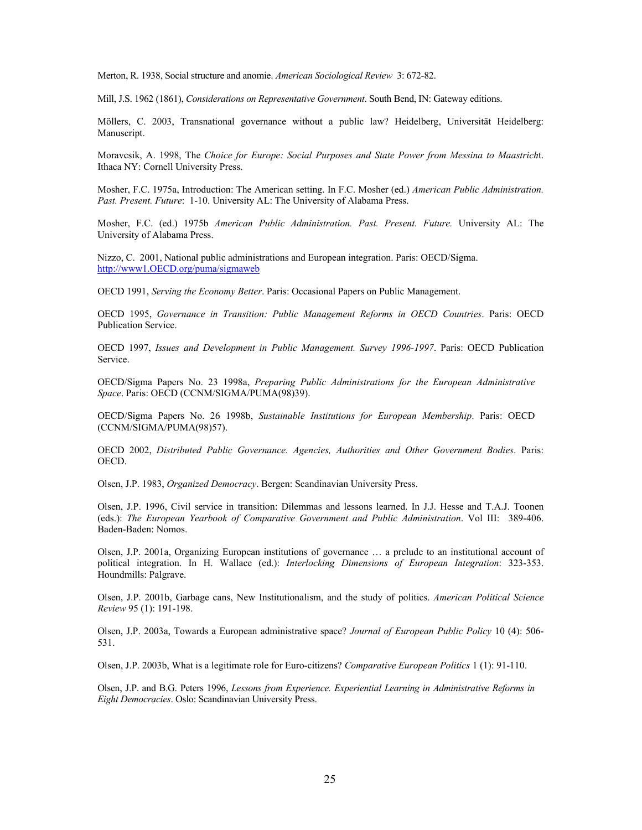Merton, R. 1938, Social structure and anomie. *American Sociological Review* 3: 672-82.

Mill, J.S. 1962 (1861), *Considerations on Representative Government*. South Bend, IN: Gateway editions.

Möllers, C. 2003, Transnational governance without a public law? Heidelberg, Universität Heidelberg: Manuscript.

Moravcsik, A. 1998, The *Choice for Europe: Social Purposes and State Power from Messina to Maastrich*t. Ithaca NY: Cornell University Press.

Mosher, F.C. 1975a, Introduction: The American setting. In F.C. Mosher (ed.) *American Public Administration. Past. Present. Future*: 1-10. University AL: The University of Alabama Press.

Mosher, F.C. (ed.) 1975b *American Public Administration. Past. Present. Future.* University AL: The University of Alabama Press.

Nizzo, C. 2001, National public administrations and European integration. Paris: OECD/Sigma. http://www1.OECD.org/puma/sigmaweb

OECD 1991, *Serving the Economy Better*. Paris: Occasional Papers on Public Management.

OECD 1995, *Governance in Transition: Public Management Reforms in OECD Countries*. Paris: OECD Publication Service.

OECD 1997, *Issues and Development in Public Management. Survey 1996-1997*. Paris: OECD Publication Service.

OECD/Sigma Papers No. 23 1998a, *Preparing Public Administrations for the European Administrative Space*. Paris: OECD (CCNM/SIGMA/PUMA(98)39).

OECD/Sigma Papers No. 26 1998b, *Sustainable Institutions for European Membership*. Paris: OECD (CCNM/SIGMA/PUMA(98)57).

OECD 2002, *Distributed Public Governance. Agencies, Authorities and Other Government Bodies*. Paris: OECD.

Olsen, J.P. 1983, *Organized Democracy*. Bergen: Scandinavian University Press.

Olsen, J.P. 1996, Civil service in transition: Dilemmas and lessons learned. In J.J. Hesse and T.A.J. Toonen (eds.): *The European Yearbook of Comparative Government and Public Administration*. Vol III: 389-406. Baden-Baden: Nomos.

Olsen, J.P. 2001a, Organizing European institutions of governance … a prelude to an institutional account of political integration. In H. Wallace (ed.): *Interlocking Dimensions of European Integration*: 323-353. Houndmills: Palgrave.

Olsen, J.P. 2001b, Garbage cans, New Institutionalism, and the study of politics. *American Political Science Review* 95 (1): 191-198.

Olsen, J.P. 2003a, Towards a European administrative space? *Journal of European Public Policy* 10 (4): 506- 531.

Olsen, J.P. 2003b, What is a legitimate role for Euro-citizens? *Comparative European Politics* 1 (1): 91-110.

Olsen, J.P. and B.G. Peters 1996, *Lessons from Experience. Experiential Learning in Administrative Reforms in Eight Democracies*. Oslo: Scandinavian University Press.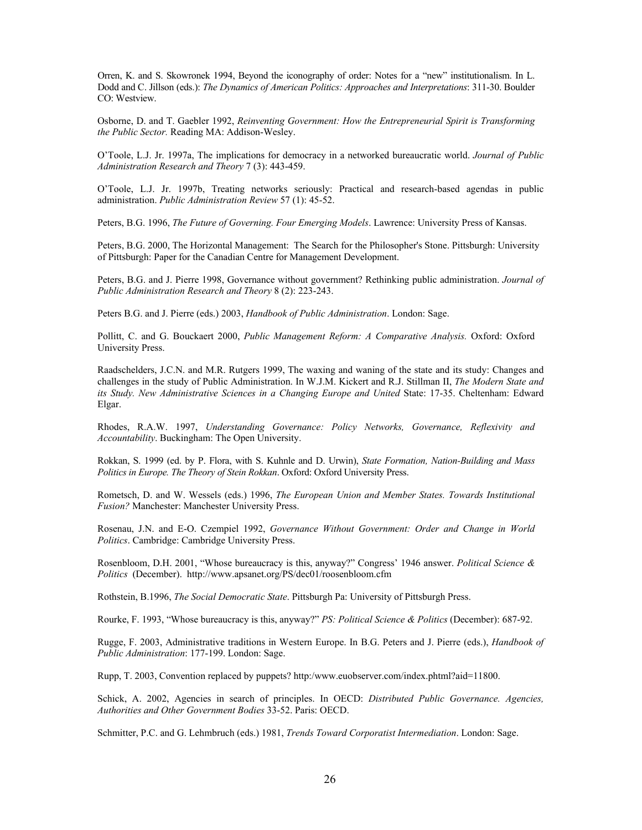Orren, K. and S. Skowronek 1994, Beyond the iconography of order: Notes for a "new" institutionalism. In L. Dodd and C. Jillson (eds.): *The Dynamics of American Politics: Approaches and Interpretations*: 311-30. Boulder CO: Westview.

Osborne, D. and T. Gaebler 1992, *Reinventing Government: How the Entrepreneurial Spirit is Transforming the Public Sector.* Reading MA: Addison-Wesley.

O'Toole, L.J. Jr. 1997a, The implications for democracy in a networked bureaucratic world. *Journal of Public Administration Research and Theory* 7 (3): 443-459.

O'Toole, L.J. Jr. 1997b, Treating networks seriously: Practical and research-based agendas in public administration. *Public Administration Review* 57 (1): 45-52.

Peters, B.G. 1996, *The Future of Governing. Four Emerging Models*. Lawrence: University Press of Kansas.

Peters, B.G. 2000, The Horizontal Management: The Search for the Philosopher's Stone. Pittsburgh: University of Pittsburgh: Paper for the Canadian Centre for Management Development.

Peters, B.G. and J. Pierre 1998, Governance without government? Rethinking public administration. *Journal of Public Administration Research and Theory* 8 (2): 223-243.

Peters B.G. and J. Pierre (eds.) 2003, *Handbook of Public Administration*. London: Sage.

Pollitt, C. and G. Bouckaert 2000, *Public Management Reform: A Comparative Analysis.* Oxford: Oxford University Press.

Raadschelders, J.C.N. and M.R. Rutgers 1999, The waxing and waning of the state and its study: Changes and challenges in the study of Public Administration. In W.J.M. Kickert and R.J. Stillman II, *The Modern State and its Study. New Administrative Sciences in a Changing Europe and United* State: 17-35. Cheltenham: Edward Elgar.

Rhodes, R.A.W. 1997, *Understanding Governance: Policy Networks, Governance, Reflexivity and Accountability*. Buckingham: The Open University.

Rokkan, S. 1999 (ed. by P. Flora, with S. Kuhnle and D. Urwin), *State Formation, Nation-Building and Mass Politics in Europe. The Theory of Stein Rokkan*. Oxford: Oxford University Press.

Rometsch, D. and W. Wessels (eds.) 1996, *The European Union and Member States. Towards Institutional Fusion?* Manchester: Manchester University Press.

Rosenau, J.N. and E-O. Czempiel 1992, *Governance Without Government: Order and Change in World Politics*. Cambridge: Cambridge University Press.

Rosenbloom, D.H. 2001, "Whose bureaucracy is this, anyway?" Congress' 1946 answer. *Political Science & Politics* (December). http://www.apsanet.org/PS/dec01/roosenbloom.cfm

Rothstein, B.1996, *The Social Democratic State*. Pittsburgh Pa: University of Pittsburgh Press.

Rourke, F. 1993, "Whose bureaucracy is this, anyway?" *PS: Political Science & Politics* (December): 687-92.

Rugge, F. 2003, Administrative traditions in Western Europe. In B.G. Peters and J. Pierre (eds.), *Handbook of Public Administration*: 177-199. London: Sage.

Rupp, T. 2003, Convention replaced by puppets? http:/www.euobserver.com/index.phtml?aid=11800.

Schick, A. 2002, Agencies in search of principles. In OECD: *Distributed Public Governance. Agencies, Authorities and Other Government Bodies* 33-52. Paris: OECD.

Schmitter, P.C. and G. Lehmbruch (eds.) 1981, *Trends Toward Corporatist Intermediation*. London: Sage.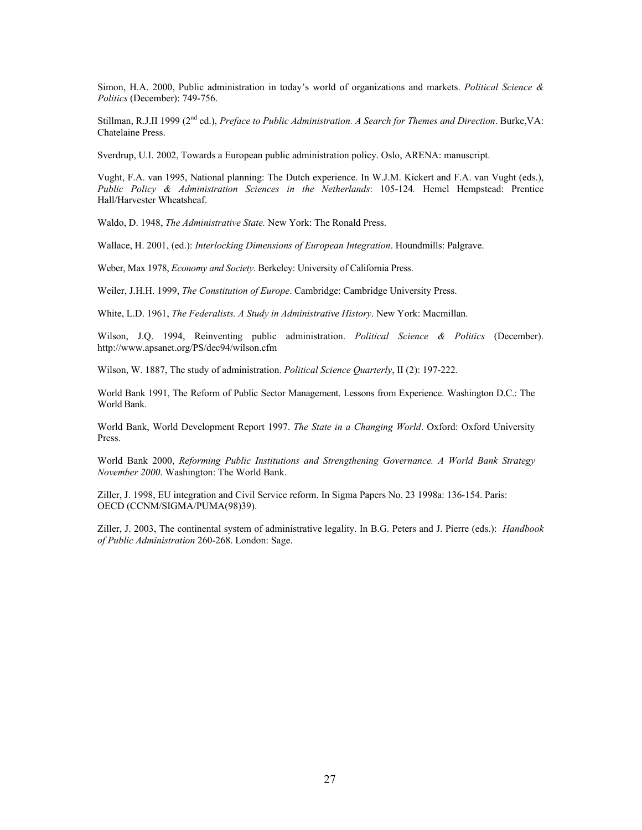Simon, H.A. 2000, Public administration in today's world of organizations and markets. *Political Science & Politics* (December): 749-756.

Stillman, R.J.II 1999 (2<sup>nd</sup> ed.), *Preface to Public Administration. A Search for Themes and Direction*. Burke, VA: Chatelaine Press.

Sverdrup, U.I. 2002, Towards a European public administration policy. Oslo, ARENA: manuscript.

Vught, F.A. van 1995, National planning: The Dutch experience. In W.J.M. Kickert and F.A. van Vught (eds.), *Public Policy & Administration Sciences in the Netherlands*: 105-124*.* Hemel Hempstead: Prentice Hall/Harvester Wheatsheaf.

Waldo, D. 1948, *The Administrative State.* New York: The Ronald Press.

Wallace, H. 2001, (ed.): *Interlocking Dimensions of European Integration*. Houndmills: Palgrave.

Weber, Max 1978, *Economy and Society*. Berkeley: University of California Press.

Weiler, J.H.H. 1999, *The Constitution of Europe*. Cambridge: Cambridge University Press.

White, L.D. 1961, *The Federalists. A Study in Administrative History*. New York: Macmillan.

Wilson, J.Q. 1994, Reinventing public administration. *Political Science & Politics* (December). http://www.apsanet.org/PS/dec94/wilson.cfm

Wilson, W. 1887, The study of administration. *Political Science Quarterly*, II (2): 197-222.

World Bank 1991, The Reform of Public Sector Management. Lessons from Experience. Washington D.C.: The World Bank.

World Bank, World Development Report 1997. *The State in a Changing World*. Oxford: Oxford University Press.

World Bank 2000, *Reforming Public Institutions and Strengthening Governance. A World Bank Strategy November 2000*. Washington: The World Bank.

Ziller, J. 1998, EU integration and Civil Service reform. In Sigma Papers No. 23 1998a: 136-154. Paris: OECD (CCNM/SIGMA/PUMA(98)39).

Ziller, J. 2003, The continental system of administrative legality. In B.G. Peters and J. Pierre (eds.): *Handbook of Public Administration* 260-268. London: Sage.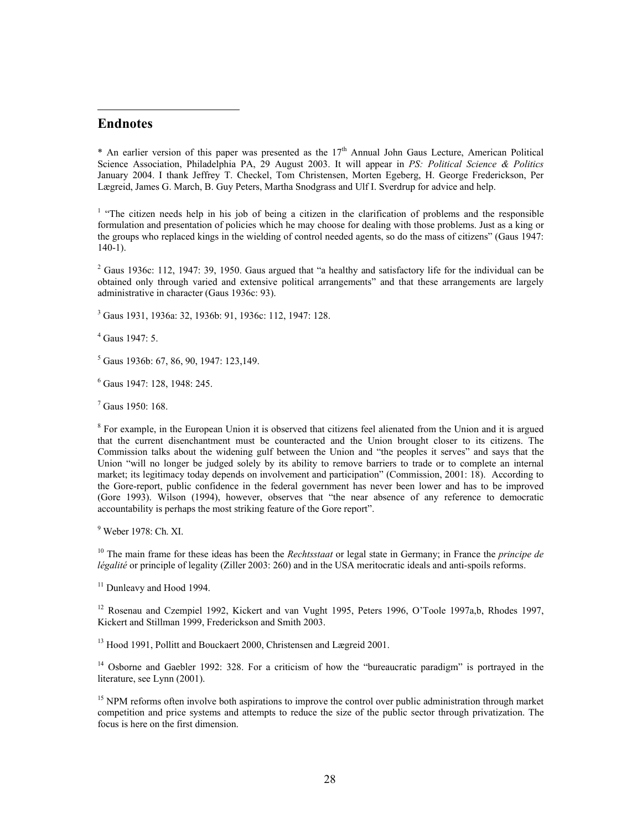# **Endnotes**

 $\overline{a}$ 

 $*$  An earlier version of this paper was presented as the 17<sup>th</sup> Annual John Gaus Lecture, American Political Science Association, Philadelphia PA, 29 August 2003. It will appear in *PS: Political Science & Politics* January 2004. I thank Jeffrey T. Checkel, Tom Christensen, Morten Egeberg, H. George Frederickson, Per Lægreid, James G. March, B. Guy Peters, Martha Snodgrass and Ulf I. Sverdrup for advice and help.

<sup>1</sup> "The citizen needs help in his job of being a citizen in the clarification of problems and the responsible formulation and presentation of policies which he may choose for dealing with those problems. Just as a king or the groups who replaced kings in the wielding of control needed agents, so do the mass of citizens" (Gaus 1947: 140-1).

 $2^2$  Gaus 1936c: 112, 1947: 39, 1950. Gaus argued that "a healthy and satisfactory life for the individual can be obtained only through varied and extensive political arrangements" and that these arrangements are largely administrative in character (Gaus 1936c: 93).

3 Gaus 1931, 1936a: 32, 1936b: 91, 1936c: 112, 1947: 128.

4 Gaus 1947: 5.

<sup>5</sup> Gaus 1936b: 67, 86, 90, 1947: 123, 149.

6 Gaus 1947: 128, 1948: 245.

 $<sup>7</sup>$  Gaus 1950: 168.</sup>

<sup>8</sup> For example, in the European Union it is observed that citizens feel alienated from the Union and it is argued that the current disenchantment must be counteracted and the Union brought closer to its citizens. The Commission talks about the widening gulf between the Union and "the peoples it serves" and says that the Union "will no longer be judged solely by its ability to remove barriers to trade or to complete an internal market; its legitimacy today depends on involvement and participation" (Commission, 2001: 18). According to the Gore-report, public confidence in the federal government has never been lower and has to be improved (Gore 1993). Wilson (1994), however, observes that "the near absence of any reference to democratic accountability is perhaps the most striking feature of the Gore report".

9 Weber 1978: Ch. XI.

10 The main frame for these ideas has been the *Rechtsstaat* or legal state in Germany; in France the *principe de légalité* or principle of legality (Ziller 2003: 260) and in the USA meritocratic ideals and anti-spoils reforms.

<sup>11</sup> Dunleavy and Hood 1994.

<sup>12</sup> Rosenau and Czempiel 1992, Kickert and van Vught 1995, Peters 1996, O'Toole 1997a,b, Rhodes 1997, Kickert and Stillman 1999, Frederickson and Smith 2003.

<sup>13</sup> Hood 1991, Pollitt and Bouckaert 2000, Christensen and Lægreid 2001.

<sup>14</sup> Osborne and Gaebler 1992: 328. For a criticism of how the "bureaucratic paradigm" is portrayed in the literature, see Lynn (2001).

<sup>15</sup> NPM reforms often involve both aspirations to improve the control over public administration through market competition and price systems and attempts to reduce the size of the public sector through privatization. The focus is here on the first dimension.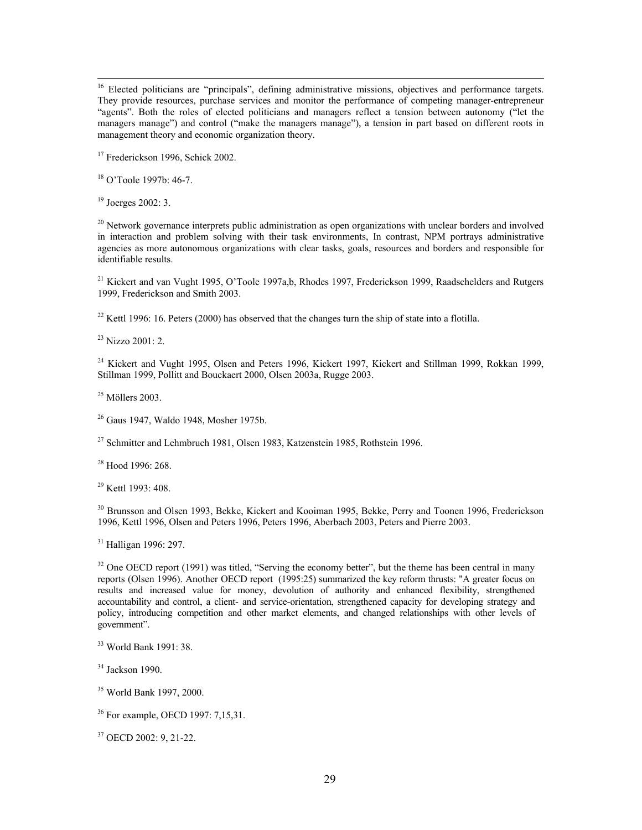<sup>16</sup> Elected politicians are "principals", defining administrative missions, objectives and performance targets. They provide resources, purchase services and monitor the performance of competing manager-entrepreneur "agents". Both the roles of elected politicians and managers reflect a tension between autonomy ("let the managers manage") and control ("make the managers manage"), a tension in part based on different roots in management theory and economic organization theory.

<sup>17</sup> Frederickson 1996, Schick 2002.

18 O'Toole 1997b: 46-7.

19 Joerges 2002: 3.

<sup>20</sup> Network governance interprets public administration as open organizations with unclear borders and involved in interaction and problem solving with their task environments, In contrast, NPM portrays administrative agencies as more autonomous organizations with clear tasks, goals, resources and borders and responsible for identifiable results.

<sup>21</sup> Kickert and van Vught 1995, O'Toole 1997a,b, Rhodes 1997, Frederickson 1999, Raadschelders and Rutgers 1999, Frederickson and Smith 2003.

 $22$  Kettl 1996: 16. Peters (2000) has observed that the changes turn the ship of state into a flotilla.

23 Nizzo 2001: 2.

<sup>24</sup> Kickert and Vught 1995, Olsen and Peters 1996, Kickert 1997, Kickert and Stillman 1999, Rokkan 1999, Stillman 1999, Pollitt and Bouckaert 2000, Olsen 2003a, Rugge 2003.

 $25$  Möllers 2003.

26 Gaus 1947, Waldo 1948, Mosher 1975b.

<sup>27</sup> Schmitter and Lehmbruch 1981, Olsen 1983, Katzenstein 1985, Rothstein 1996.

28 Hood 1996: 268.

<sup>29</sup> Kettl 1993: 408.

<sup>30</sup> Brunsson and Olsen 1993, Bekke, Kickert and Kooiman 1995, Bekke, Perry and Toonen 1996, Frederickson 1996, Kettl 1996, Olsen and Peters 1996, Peters 1996, Aberbach 2003, Peters and Pierre 2003.

31 Halligan 1996: 297.

 $32$  One OECD report (1991) was titled, "Serving the economy better", but the theme has been central in many reports (Olsen 1996). Another OECD report (1995:25) summarized the key reform thrusts: "A greater focus on results and increased value for money, devolution of authority and enhanced flexibility, strengthened accountability and control, a client- and service-orientation, strengthened capacity for developing strategy and policy, introducing competition and other market elements, and changed relationships with other levels of government".

33 World Bank 1991: 38.

34 Jackson 1990.

35 World Bank 1997, 2000.

36 For example, OECD 1997: 7,15,31.

37 OECD 2002: 9, 21-22.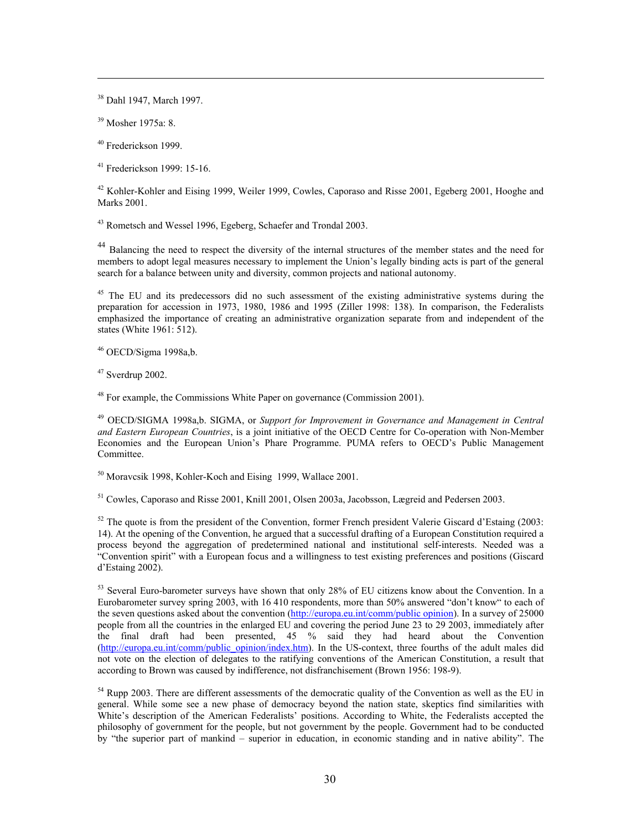38 Dahl 1947, March 1997.

39 Mosher 1975a: 8.

 $\overline{\phantom{a}}$ 

40 Frederickson 1999.

41 Frederickson 1999: 15-16.

42 Kohler-Kohler and Eising 1999, Weiler 1999, Cowles, Caporaso and Risse 2001, Egeberg 2001, Hooghe and Marks 2001.

43 Rometsch and Wessel 1996, Egeberg, Schaefer and Trondal 2003.

<sup>44</sup> Balancing the need to respect the diversity of the internal structures of the member states and the need for members to adopt legal measures necessary to implement the Union's legally binding acts is part of the general search for a balance between unity and diversity, common projects and national autonomy.

<sup>45</sup> The EU and its predecessors did no such assessment of the existing administrative systems during the preparation for accession in 1973, 1980, 1986 and 1995 (Ziller 1998: 138). In comparison, the Federalists emphasized the importance of creating an administrative organization separate from and independent of the states (White 1961: 512).

46 OECD/Sigma 1998a,b.

 $47$  Sverdrup 2002.

48 For example, the Commissions White Paper on governance (Commission 2001).

49 OECD/SIGMA 1998a,b. SIGMA, or *Support for Improvement in Governance and Management in Central and Eastern European Countries*, is a joint initiative of the OECD Centre for Co-operation with Non-Member Economies and the European Union's Phare Programme. PUMA refers to OECD's Public Management Committee.

50 Moravcsik 1998, Kohler-Koch and Eising 1999, Wallace 2001.

51 Cowles, Caporaso and Risse 2001, Knill 2001, Olsen 2003a, Jacobsson, Lægreid and Pedersen 2003.

 $52$  The quote is from the president of the Convention, former French president Valerie Giscard d'Estaing (2003: 14). At the opening of the Convention, he argued that a successful drafting of a European Constitution required a process beyond the aggregation of predetermined national and institutional self-interests. Needed was a "Convention spirit" with a European focus and a willingness to test existing preferences and positions (Giscard d'Estaing 2002).

<sup>53</sup> Several Euro-barometer surveys have shown that only 28% of EU citizens know about the Convention. In a Eurobarometer survey spring 2003, with 16 410 respondents, more than 50% answered "don't know" to each of the seven questions asked about the convention (http://europa.eu.int/comm/public opinion). In a survey of 25000 people from all the countries in the enlarged EU and covering the period June 23 to 29 2003, immediately after the final draft had been presented, 45 % said they had heard about the Convention (http://europa.eu.int/comm/public\_opinion/index.htm). In the US-context, three fourths of the adult males did not vote on the election of delegates to the ratifying conventions of the American Constitution, a result that according to Brown was caused by indifference, not disfranchisement (Brown 1956: 198-9).

<sup>54</sup> Rupp 2003. There are different assessments of the democratic quality of the Convention as well as the EU in general. While some see a new phase of democracy beyond the nation state, skeptics find similarities with White's description of the American Federalists' positions. According to White, the Federalists accepted the philosophy of government for the people, but not government by the people. Government had to be conducted by "the superior part of mankind – superior in education, in economic standing and in native ability". The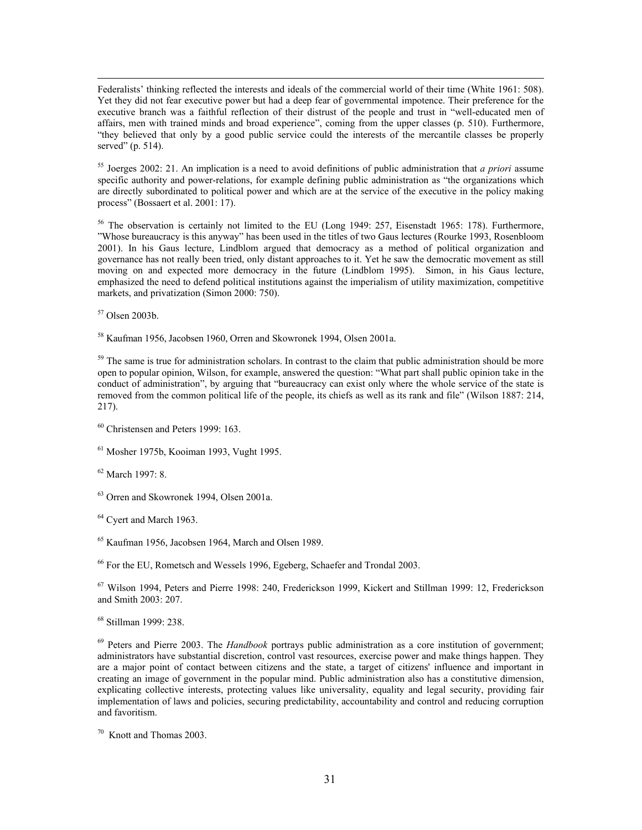Federalists' thinking reflected the interests and ideals of the commercial world of their time (White 1961: 508). Yet they did not fear executive power but had a deep fear of governmental impotence. Their preference for the executive branch was a faithful reflection of their distrust of the people and trust in "well-educated men of affairs, men with trained minds and broad experience", coming from the upper classes (p. 510). Furthermore, "they believed that only by a good public service could the interests of the mercantile classes be properly served" (p. 514).

55 Joerges 2002: 21. An implication is a need to avoid definitions of public administration that *a priori* assume specific authority and power-relations, for example defining public administration as "the organizations which are directly subordinated to political power and which are at the service of the executive in the policy making process" (Bossaert et al. 2001: 17).

<sup>56</sup> The observation is certainly not limited to the EU (Long 1949: 257, Eisenstadt 1965: 178). Furthermore, "Whose bureaucracy is this anyway" has been used in the titles of two Gaus lectures (Rourke 1993, Rosenbloom 2001). In his Gaus lecture, Lindblom argued that democracy as a method of political organization and governance has not really been tried, only distant approaches to it. Yet he saw the democratic movement as still moving on and expected more democracy in the future (Lindblom 1995). Simon, in his Gaus lecture, emphasized the need to defend political institutions against the imperialism of utility maximization, competitive markets, and privatization (Simon 2000: 750).

57 Olsen 2003b.

58 Kaufman 1956, Jacobsen 1960, Orren and Skowronek 1994, Olsen 2001a.

<sup>59</sup> The same is true for administration scholars. In contrast to the claim that public administration should be more open to popular opinion, Wilson, for example, answered the question: "What part shall public opinion take in the conduct of administration", by arguing that "bureaucracy can exist only where the whole service of the state is removed from the common political life of the people, its chiefs as well as its rank and file" (Wilson 1887: 214, 217).

<sup>60</sup> Christensen and Peters 1999: 163.

61 Mosher 1975b, Kooiman 1993, Vught 1995.

62 March 1997: 8.

63 Orren and Skowronek 1994, Olsen 2001a.

<sup>64</sup> Cyert and March 1963.

65 Kaufman 1956, Jacobsen 1964, March and Olsen 1989.

<sup>66</sup> For the EU, Rometsch and Wessels 1996, Egeberg, Schaefer and Trondal 2003.

67 Wilson 1994, Peters and Pierre 1998: 240, Frederickson 1999, Kickert and Stillman 1999: 12, Frederickson and Smith 2003: 207.

68 Stillman 1999: 238.

69 Peters and Pierre 2003. The *Handbook* portrays public administration as a core institution of government; administrators have substantial discretion, control vast resources, exercise power and make things happen. They are a major point of contact between citizens and the state, a target of citizens' influence and important in creating an image of government in the popular mind. Public administration also has a constitutive dimension, explicating collective interests, protecting values like universality, equality and legal security, providing fair implementation of laws and policies, securing predictability, accountability and control and reducing corruption and favoritism.

70 Knott and Thomas 2003.